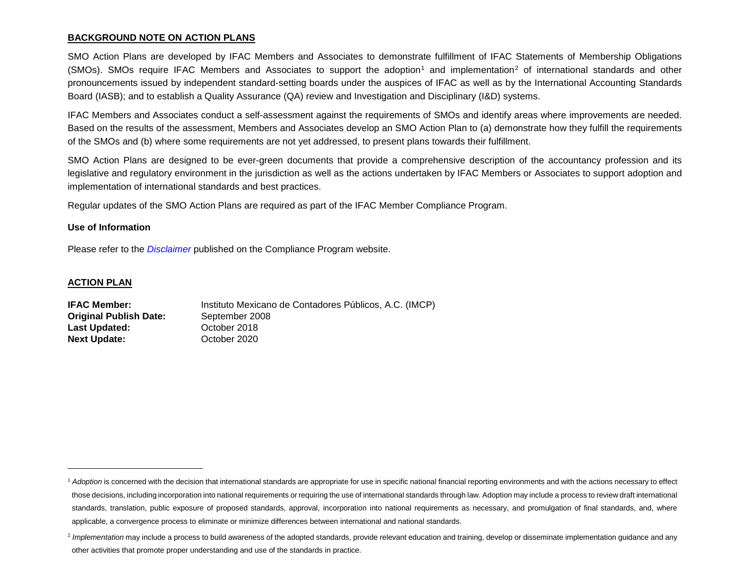### <span id="page-0-1"></span><span id="page-0-0"></span>**BACKGROUND NOTE ON ACTION PLANS**

SMO Action Plans are developed by IFAC Members and Associates to demonstrate fulfillment of IFAC Statements of Membership Obligations (SMOs). SMOs require IFAC Members and Associates to support the adoption<sup>[1](#page-0-0)</sup> and implementation<sup>[2](#page-0-1)</sup> of international standards and other pronouncements issued by independent standard-setting boards under the auspices of IFAC as well as by the International Accounting Standards Board (IASB); and to establish a Quality Assurance (QA) review and Investigation and Disciplinary (I&D) systems.

IFAC Members and Associates conduct a self-assessment against the requirements of SMOs and identify areas where improvements are needed. Based on the results of the assessment, Members and Associates develop an SMO Action Plan to (a) demonstrate how they fulfill the requirements of the SMOs and (b) where some requirements are not yet addressed, to present plans towards their fulfillment.

SMO Action Plans are designed to be ever-green documents that provide a comprehensive description of the accountancy profession and its legislative and regulatory environment in the jurisdiction as well as the actions undertaken by IFAC Members or Associates to support adoption and implementation of international standards and best practices.

Regular updates of the SMO Action Plans are required as part of the IFAC Member Compliance Program.

#### **Use of Information**

Please refer to the *[Disclaimer](http://www.ifac.org/about-ifac/membership/members/disclaimer)* published on the Compliance Program website.

#### **ACTION PLAN**

 $\overline{a}$ 

| <b>IFAC Member:</b>           | Instituto Mexicano de Contadores Públicos, A.C. (IMCP) |
|-------------------------------|--------------------------------------------------------|
| <b>Original Publish Date:</b> | September 2008                                         |
| Last Updated:                 | October 2018                                           |
| <b>Next Update:</b>           | October 2020                                           |

<sup>&</sup>lt;sup>1</sup> Adoption is concerned with the decision that international standards are appropriate for use in specific national financial reporting environments and with the actions necessary to effect those decisions, including incorporation into national requirements or requiring the use of international standards through law. Adoption may include a process to review draft international standards, translation, public exposure of proposed standards, approval, incorporation into national requirements as necessary, and promulgation of final standards, and, where applicable, a convergence process to eliminate or minimize differences between international and national standards.

<sup>&</sup>lt;sup>2</sup> Implementation may include a process to build awareness of the adopted standards, provide relevant education and training, develop or disseminate implementation guidance and any other activities that promote proper understanding and use of the standards in practice.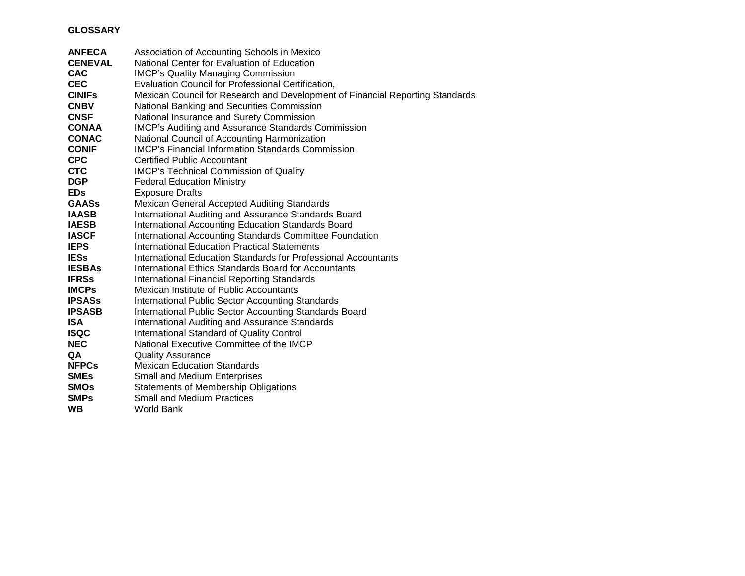# **GLOSSARY**

| <b>ANFECA</b>  | Association of Accounting Schools in Mexico                                   |
|----------------|-------------------------------------------------------------------------------|
| <b>CENEVAL</b> | National Center for Evaluation of Education                                   |
| <b>CAC</b>     | <b>IMCP's Quality Managing Commission</b>                                     |
| <b>CEC</b>     | Evaluation Council for Professional Certification,                            |
| <b>CINIFS</b>  | Mexican Council for Research and Development of Financial Reporting Standards |
| <b>CNBV</b>    | National Banking and Securities Commission                                    |
| <b>CNSF</b>    | National Insurance and Surety Commission                                      |
| <b>CONAA</b>   | <b>IMCP's Auditing and Assurance Standards Commission</b>                     |
| <b>CONAC</b>   | National Council of Accounting Harmonization                                  |
| <b>CONIF</b>   | <b>IMCP's Financial Information Standards Commission</b>                      |
| <b>CPC</b>     | <b>Certified Public Accountant</b>                                            |
| <b>CTC</b>     | IMCP's Technical Commission of Quality                                        |
| <b>DGP</b>     | <b>Federal Education Ministry</b>                                             |
| <b>EDs</b>     | <b>Exposure Drafts</b>                                                        |
| <b>GAASs</b>   | Mexican General Accepted Auditing Standards                                   |
| <b>IAASB</b>   | International Auditing and Assurance Standards Board                          |
| <b>IAESB</b>   | International Accounting Education Standards Board                            |
| <b>IASCF</b>   | International Accounting Standards Committee Foundation                       |
| <b>IEPS</b>    | <b>International Education Practical Statements</b>                           |
| <b>IESs</b>    | International Education Standards for Professional Accountants                |
| <b>IESBAs</b>  | International Ethics Standards Board for Accountants                          |
| <b>IFRSs</b>   | <b>International Financial Reporting Standards</b>                            |
| <b>IMCPs</b>   | Mexican Institute of Public Accountants                                       |
| <b>IPSASs</b>  | <b>International Public Sector Accounting Standards</b>                       |
| <b>IPSASB</b>  | International Public Sector Accounting Standards Board                        |
| <b>ISA</b>     | <b>International Auditing and Assurance Standards</b>                         |
| <b>ISQC</b>    | <b>International Standard of Quality Control</b>                              |
| <b>NEC</b>     | National Executive Committee of the IMCP                                      |
| QA             | <b>Quality Assurance</b>                                                      |
| <b>NFPCs</b>   | <b>Mexican Education Standards</b>                                            |
| <b>SMEs</b>    | Small and Medium Enterprises                                                  |
| <b>SMOs</b>    | <b>Statements of Membership Obligations</b>                                   |
| <b>SMPs</b>    | <b>Small and Medium Practices</b>                                             |
| <b>WB</b>      | <b>World Bank</b>                                                             |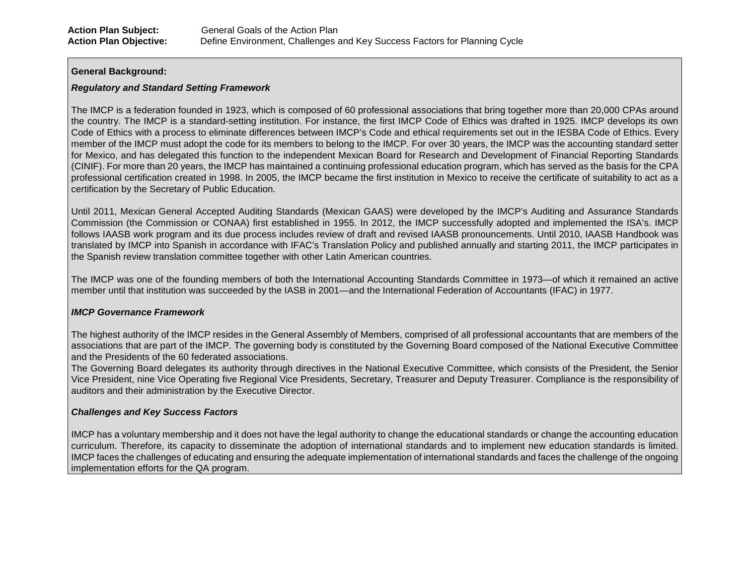#### **General Background:**

### *Regulatory and Standard Setting Framework*

The IMCP is a federation founded in 1923, which is composed of 60 professional associations that bring together more than 20,000 CPAs around the country. The IMCP is a standard-setting institution. For instance, the first IMCP Code of Ethics was drafted in 1925. IMCP develops its own Code of Ethics with a process to eliminate differences between IMCP's Code and ethical requirements set out in the IESBA Code of Ethics. Every member of the IMCP must adopt the code for its members to belong to the IMCP. For over 30 years, the IMCP was the accounting standard setter for Mexico, and has delegated this function to the independent Mexican Board for Research and Development of Financial Reporting Standards (CINIF). For more than 20 years, the IMCP has maintained a continuing professional education program, which has served as the basis for the CPA professional certification created in 1998. In 2005, the IMCP became the first institution in Mexico to receive the certificate of suitability to act as a certification by the Secretary of Public Education.

Until 2011, Mexican General Accepted Auditing Standards (Mexican GAAS) were developed by the IMCP's Auditing and Assurance Standards Commission (the Commission or CONAA) first established in 1955. In 2012, the IMCP successfully adopted and implemented the ISA's. IMCP follows IAASB work program and its due process includes review of draft and revised IAASB pronouncements. Until 2010, IAASB Handbook was translated by IMCP into Spanish in accordance with IFAC's Translation Policy and published annually and starting 2011, the IMCP participates in the Spanish review translation committee together with other Latin American countries.

The IMCP was one of the founding members of both the International Accounting Standards Committee in 1973—of which it remained an active member until that institution was succeeded by the IASB in 2001—and the International Federation of Accountants (IFAC) in 1977.

## *IMCP Governance Framework*

The highest authority of the IMCP resides in the General Assembly of Members, comprised of all professional accountants that are members of the associations that are part of the IMCP. The governing body is constituted by the Governing Board composed of the National Executive Committee and the Presidents of the 60 federated associations.

The Governing Board delegates its authority through directives in the National Executive Committee, which consists of the President, the Senior Vice President, nine Vice Operating five Regional Vice Presidents, Secretary, Treasurer and Deputy Treasurer. Compliance is the responsibility of auditors and their administration by the Executive Director.

### *Challenges and Key Success Factors*

IMCP has a voluntary membership and it does not have the legal authority to change the educational standards or change the accounting education curriculum. Therefore, its capacity to disseminate the adoption of international standards and to implement new education standards is limited. IMCP faces the challenges of educating and ensuring the adequate implementation of international standards and faces the challenge of the ongoing implementation efforts for the QA program.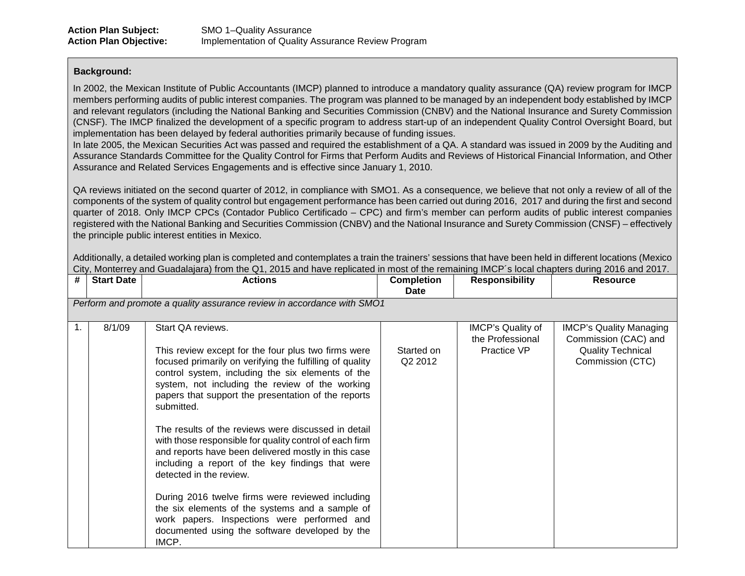#### **Background:**

In 2002, the Mexican Institute of Public Accountants (IMCP) planned to introduce a mandatory quality assurance (QA) review program for IMCP members performing audits of public interest companies. The program was planned to be managed by an independent body established by IMCP and relevant regulators (including the National Banking and Securities Commission (CNBV) and the National Insurance and Surety Commission (CNSF). The IMCP finalized the development of a specific program to address start-up of an independent Quality Control Oversight Board, but implementation has been delayed by federal authorities primarily because of funding issues.

In late 2005, the Mexican Securities Act was passed and required the establishment of a QA. A standard was issued in 2009 by the Auditing and Assurance Standards Committee for the Quality Control for Firms that Perform Audits and Reviews of Historical Financial Information, and Other Assurance and Related Services Engagements and is effective since January 1, 2010.

QA reviews initiated on the second quarter of 2012, in compliance with SMO1. As a consequence, we believe that not only a review of all of the components of the system of quality control but engagement performance has been carried out during 2016, 2017 and during the first and second quarter of 2018. Only IMCP CPCs (Contador Publico Certificado – CPC) and firm's member can perform audits of public interest companies registered with the National Banking and Securities Commission (CNBV) and the National Insurance and Surety Commission (CNSF) – effectively the principle public interest entities in Mexico.

Additionally, a detailed working plan is completed and contemplates a train the trainers' sessions that have been held in different locations (Mexico City, Monterrey and Guadalajara) from the Q1, 2015 and have replicated in most of the remaining IMCP´s local chapters during 2016 and 2017.

| <b>Start Date</b> | <b>Actions</b>                                                                                                                                                                                                                                                                                                                                                                                                                                                                                                                                                                                                                                                                                                                                                                    | <b>Completion</b><br>Date         | <b>Responsibility</b>                                                  | <b>Resource</b>                                                                                        |
|-------------------|-----------------------------------------------------------------------------------------------------------------------------------------------------------------------------------------------------------------------------------------------------------------------------------------------------------------------------------------------------------------------------------------------------------------------------------------------------------------------------------------------------------------------------------------------------------------------------------------------------------------------------------------------------------------------------------------------------------------------------------------------------------------------------------|-----------------------------------|------------------------------------------------------------------------|--------------------------------------------------------------------------------------------------------|
|                   |                                                                                                                                                                                                                                                                                                                                                                                                                                                                                                                                                                                                                                                                                                                                                                                   |                                   |                                                                        |                                                                                                        |
|                   |                                                                                                                                                                                                                                                                                                                                                                                                                                                                                                                                                                                                                                                                                                                                                                                   |                                   |                                                                        |                                                                                                        |
| 8/1/09            | Start QA reviews.<br>This review except for the four plus two firms were<br>focused primarily on verifying the fulfilling of quality<br>control system, including the six elements of the<br>system, not including the review of the working<br>papers that support the presentation of the reports<br>submitted.<br>The results of the reviews were discussed in detail<br>with those responsible for quality control of each firm<br>and reports have been delivered mostly in this case<br>including a report of the key findings that were<br>detected in the review.<br>During 2016 twelve firms were reviewed including<br>the six elements of the systems and a sample of<br>work papers. Inspections were performed and<br>documented using the software developed by the | Started on<br>Q <sub>2</sub> 2012 | IMCP's Quality of<br>the Professional<br>Practice VP                   | <b>IMCP's Quality Managing</b><br>Commission (CAC) and<br><b>Quality Technical</b><br>Commission (CTC) |
|                   |                                                                                                                                                                                                                                                                                                                                                                                                                                                                                                                                                                                                                                                                                                                                                                                   | IMCP.                             | Perform and promote a quality assurance review in accordance with SMO1 |                                                                                                        |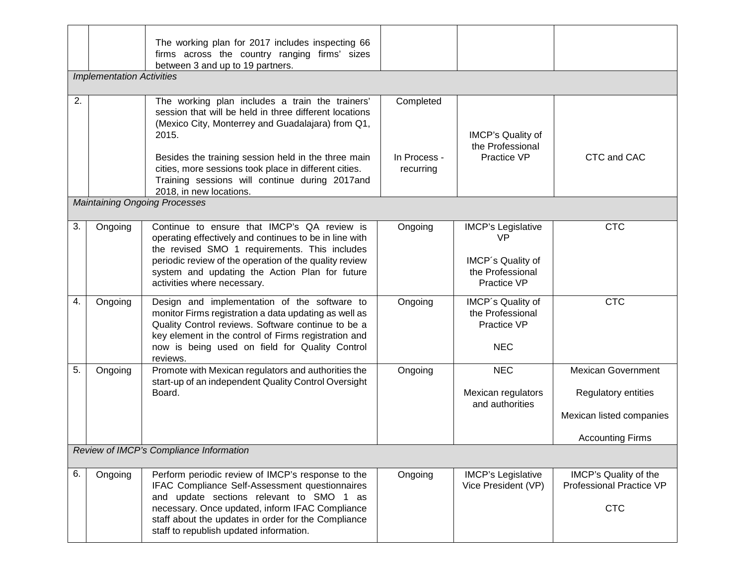|    |                                  | The working plan for 2017 includes inspecting 66<br>firms across the country ranging firms' sizes<br>between 3 and up to 19 partners.                                                                                                                                                                                                                                |                                        |                                                                                                |                                                                                                                |
|----|----------------------------------|----------------------------------------------------------------------------------------------------------------------------------------------------------------------------------------------------------------------------------------------------------------------------------------------------------------------------------------------------------------------|----------------------------------------|------------------------------------------------------------------------------------------------|----------------------------------------------------------------------------------------------------------------|
|    | <b>Implementation Activities</b> |                                                                                                                                                                                                                                                                                                                                                                      |                                        |                                                                                                |                                                                                                                |
| 2. |                                  | The working plan includes a train the trainers'<br>session that will be held in three different locations<br>(Mexico City, Monterrey and Guadalajara) from Q1,<br>2015.<br>Besides the training session held in the three main<br>cities, more sessions took place in different cities.<br>Training sessions will continue during 2017and<br>2018, in new locations. | Completed<br>In Process -<br>recurring | IMCP's Quality of<br>the Professional<br><b>Practice VP</b>                                    | CTC and CAC                                                                                                    |
|    |                                  | <b>Maintaining Ongoing Processes</b>                                                                                                                                                                                                                                                                                                                                 |                                        |                                                                                                |                                                                                                                |
| 3. | Ongoing                          | Continue to ensure that IMCP's QA review is<br>operating effectively and continues to be in line with<br>the revised SMO 1 requirements. This includes<br>periodic review of the operation of the quality review<br>system and updating the Action Plan for future<br>activities where necessary.                                                                    | Ongoing                                | <b>IMCP's Legislative</b><br><b>VP</b><br>IMCP's Quality of<br>the Professional<br>Practice VP | <b>CTC</b>                                                                                                     |
| 4. | Ongoing                          | Design and implementation of the software to<br>monitor Firms registration a data updating as well as<br>Quality Control reviews. Software continue to be a<br>key element in the control of Firms registration and<br>now is being used on field for Quality Control<br>reviews.                                                                                    | Ongoing                                | IMCP's Quality of<br>the Professional<br>Practice VP<br><b>NEC</b>                             | <b>CTC</b>                                                                                                     |
| 5. | Ongoing                          | Promote with Mexican regulators and authorities the<br>start-up of an independent Quality Control Oversight<br>Board.                                                                                                                                                                                                                                                | Ongoing                                | <b>NEC</b><br>Mexican regulators<br>and authorities                                            | <b>Mexican Government</b><br><b>Regulatory entities</b><br>Mexican listed companies<br><b>Accounting Firms</b> |
|    |                                  | Review of IMCP's Compliance Information                                                                                                                                                                                                                                                                                                                              |                                        |                                                                                                |                                                                                                                |
| 6. | Ongoing                          | Perform periodic review of IMCP's response to the<br>IFAC Compliance Self-Assessment questionnaires<br>and update sections relevant to SMO 1 as<br>necessary. Once updated, inform IFAC Compliance<br>staff about the updates in order for the Compliance<br>staff to republish updated information.                                                                 | Ongoing                                | <b>IMCP's Legislative</b><br>Vice President (VP)                                               | IMCP's Quality of the<br><b>Professional Practice VP</b><br><b>CTC</b>                                         |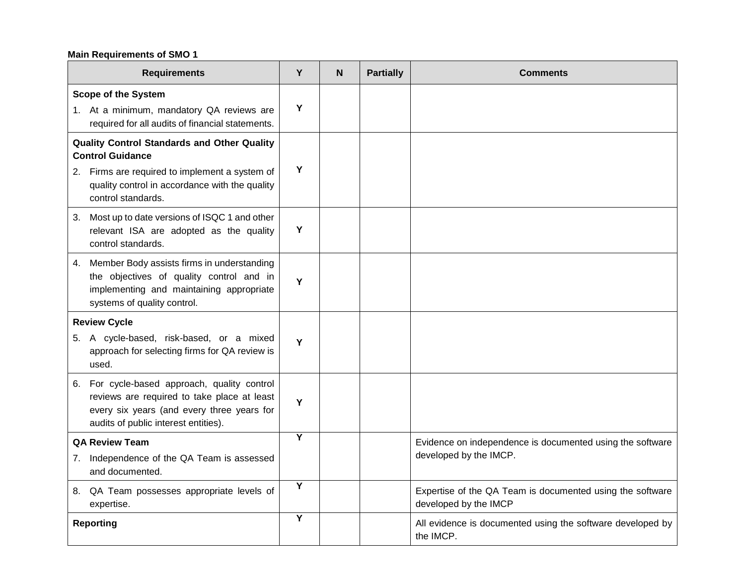# **Main Requirements of SMO 1**

| <b>Requirements</b>                                                                                                                                                               | Y                       | N | <b>Partially</b> | <b>Comments</b>                                                                    |
|-----------------------------------------------------------------------------------------------------------------------------------------------------------------------------------|-------------------------|---|------------------|------------------------------------------------------------------------------------|
| <b>Scope of the System</b><br>1. At a minimum, mandatory QA reviews are<br>required for all audits of financial statements.                                                       | Υ                       |   |                  |                                                                                    |
| <b>Quality Control Standards and Other Quality</b><br><b>Control Guidance</b><br>2. Firms are required to implement a system of                                                   | Υ                       |   |                  |                                                                                    |
| quality control in accordance with the quality<br>control standards.                                                                                                              |                         |   |                  |                                                                                    |
| Most up to date versions of ISQC 1 and other<br>3.<br>relevant ISA are adopted as the quality<br>control standards.                                                               | Υ                       |   |                  |                                                                                    |
| Member Body assists firms in understanding<br>4.<br>the objectives of quality control and in<br>implementing and maintaining appropriate<br>systems of quality control.           | Y                       |   |                  |                                                                                    |
| <b>Review Cycle</b>                                                                                                                                                               |                         |   |                  |                                                                                    |
| 5. A cycle-based, risk-based, or a mixed<br>approach for selecting firms for QA review is<br>used.                                                                                | Υ                       |   |                  |                                                                                    |
| 6. For cycle-based approach, quality control<br>reviews are required to take place at least<br>every six years (and every three years for<br>audits of public interest entities). | Y                       |   |                  |                                                                                    |
| <b>QA Review Team</b>                                                                                                                                                             | Y                       |   |                  | Evidence on independence is documented using the software                          |
| Independence of the QA Team is assessed<br>7.<br>and documented.                                                                                                                  |                         |   |                  | developed by the IMCP.                                                             |
| 8. QA Team possesses appropriate levels of<br>expertise.                                                                                                                          | Y                       |   |                  | Expertise of the QA Team is documented using the software<br>developed by the IMCP |
| <b>Reporting</b>                                                                                                                                                                  | $\overline{\mathsf{Y}}$ |   |                  | All evidence is documented using the software developed by<br>the IMCP.            |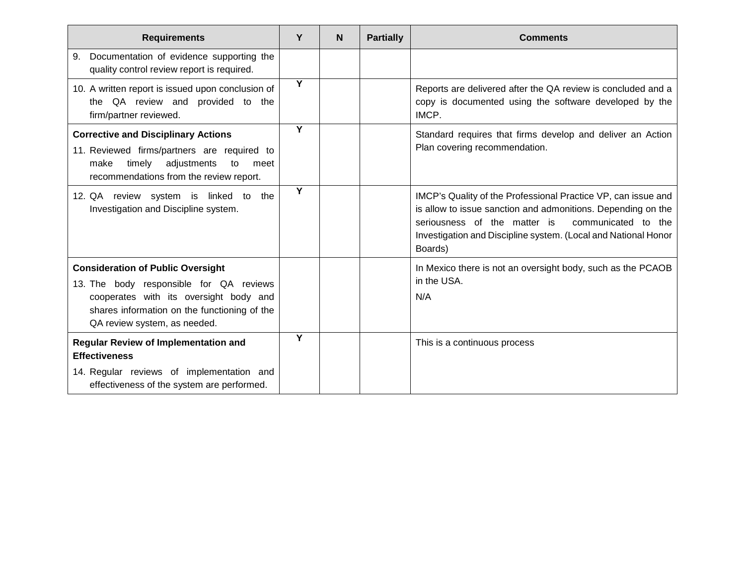| <b>Requirements</b>                                                                                                                                                                                           | Y                       | N | <b>Partially</b> | <b>Comments</b>                                                                                                                                                                                                                                                   |
|---------------------------------------------------------------------------------------------------------------------------------------------------------------------------------------------------------------|-------------------------|---|------------------|-------------------------------------------------------------------------------------------------------------------------------------------------------------------------------------------------------------------------------------------------------------------|
| Documentation of evidence supporting the<br>9.<br>quality control review report is required.                                                                                                                  |                         |   |                  |                                                                                                                                                                                                                                                                   |
| 10. A written report is issued upon conclusion of<br>the QA review and provided to the<br>firm/partner reviewed.                                                                                              | Y                       |   |                  | Reports are delivered after the QA review is concluded and a<br>copy is documented using the software developed by the<br>IMCP.                                                                                                                                   |
| <b>Corrective and Disciplinary Actions</b><br>11. Reviewed firms/partners are required to<br>timely<br>adjustments<br>make<br>to<br>meet<br>recommendations from the review report.                           | Y                       |   |                  | Standard requires that firms develop and deliver an Action<br>Plan covering recommendation.                                                                                                                                                                       |
| 12. QA review system is linked to the<br>Investigation and Discipline system.                                                                                                                                 | $\overline{\mathsf{Y}}$ |   |                  | IMCP's Quality of the Professional Practice VP, can issue and<br>is allow to issue sanction and admonitions. Depending on the<br>communicated to the<br>seriousness of the matter is<br>Investigation and Discipline system. (Local and National Honor<br>Boards) |
| <b>Consideration of Public Oversight</b><br>13. The body responsible for QA reviews<br>cooperates with its oversight body and<br>shares information on the functioning of the<br>QA review system, as needed. |                         |   |                  | In Mexico there is not an oversight body, such as the PCAOB<br>in the USA.<br>N/A                                                                                                                                                                                 |
| <b>Regular Review of Implementation and</b><br><b>Effectiveness</b>                                                                                                                                           | Y                       |   |                  | This is a continuous process                                                                                                                                                                                                                                      |
| 14. Regular reviews of implementation and<br>effectiveness of the system are performed.                                                                                                                       |                         |   |                  |                                                                                                                                                                                                                                                                   |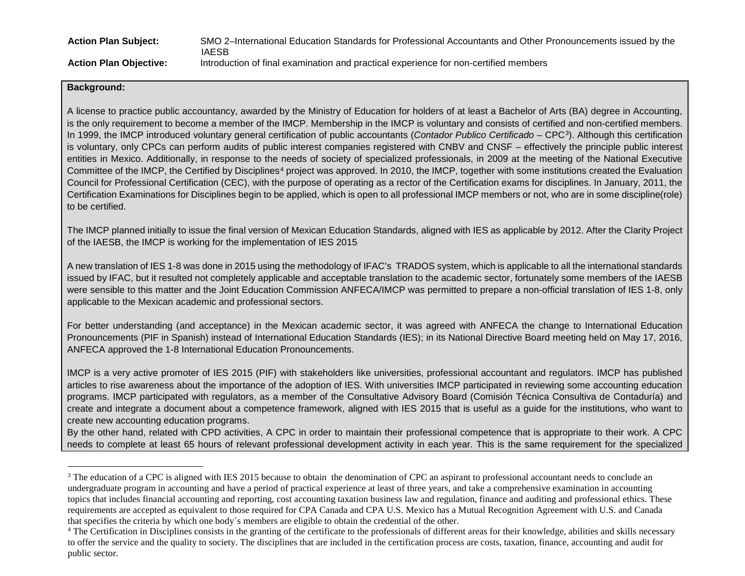<span id="page-7-1"></span><span id="page-7-0"></span>

| <b>Action Plan Subject:</b>   | SMO 2-International Education Standards for Professional Accountants and Other Pronouncements issued by the<br>IAESB |
|-------------------------------|----------------------------------------------------------------------------------------------------------------------|
| <b>Action Plan Objective:</b> | Introduction of final examination and practical experience for non-certified members                                 |

#### **Background:**

A license to practice public accountancy, awarded by the Ministry of Education for holders of at least a Bachelor of Arts (BA) degree in Accounting, is the only requirement to become a member of the IMCP. Membership in the IMCP is voluntary and consists of certified and non-certified members. In 1999, the IMCP introduced voluntary general certification of public accountants (*Contador Publico Certificado* – CPC[3\)](#page-7-0). Although this certification is voluntary, only CPCs can perform audits of public interest companies registered with CNBV and CNSF – effectively the principle public interest entities in Mexico. Additionally, in response to the needs of society of specialized professionals, in 2009 at the meeting of the National Executive Committee of the IMCP, the Certified by Disciplines<sup>[4](#page-7-1)</sup> project was approved. In 2010, the IMCP, together with some institutions created the Evaluation Council for Professional Certification (CEC), with the purpose of operating as a rector of the Certification exams for disciplines. In January, 2011, the Certification Examinations for Disciplines begin to be applied, which is open to all professional IMCP members or not, who are in some discipline(role) to be certified.

The IMCP planned initially to issue the final version of Mexican Education Standards, aligned with IES as applicable by 2012. After the Clarity Project of the IAESB, the IMCP is working for the implementation of IES 2015

A new translation of IES 1-8 was done in 2015 using the methodology of IFAC's TRADOS system, which is applicable to all the international standards issued by IFAC, but it resulted not completely applicable and acceptable translation to the academic sector, fortunately some members of the IAESB were sensible to this matter and the Joint Education Commission ANFECA/IMCP was permitted to prepare a non-official translation of IES 1-8, only applicable to the Mexican academic and professional sectors.

For better understanding (and acceptance) in the Mexican academic sector, it was agreed with ANFECA the change to International Education Pronouncements (PIF in Spanish) instead of International Education Standards (IES); in its National Directive Board meeting held on May 17, 2016, ANFECA approved the 1-8 International Education Pronouncements.

IMCP is a very active promoter of IES 2015 (PIF) with stakeholders like universities, professional accountant and regulators. IMCP has published articles to rise awareness about the importance of the adoption of IES. With universities IMCP participated in reviewing some accounting education programs. IMCP participated with regulators, as a member of the Consultative Advisory Board (Comisión Técnica Consultiva de Contaduría) and create and integrate a document about a competence framework, aligned with IES 2015 that is useful as a guide for the institutions, who want to create new accounting education programs.

By the other hand, related with CPD activities, A CPC in order to maintain their professional competence that is appropriate to their work. A CPC needs to complete at least 65 hours of relevant professional development activity in each year. This is the same requirement for the specialized

<sup>&</sup>lt;sup>3</sup> The education of a CPC is aligned with IES 2015 because to obtain the denomination of CPC an aspirant to professional accountant needs to conclude an undergraduate program in accounting and have a period of practical experience at least of three years, and take a comprehensive examination in accounting topics that includes financial accounting and reporting, cost accounting taxation business law and regulation, finance and auditing and professional ethics. These requirements are accepted as equivalent to those required for CPA Canada and CPA U.S. Mexico has a Mutual Recognition Agreement with U.S. and Canada that specifies the criteria by which one body´s members are eligible to obtain the credential of the other.

<sup>&</sup>lt;sup>4</sup> The Certification in Disciplines consists in the granting of the certificate to the professionals of different areas for their knowledge, abilities and skills necessary to offer the service and the quality to society. The disciplines that are included in the certification process are costs, taxation, finance, accounting and audit for public sector.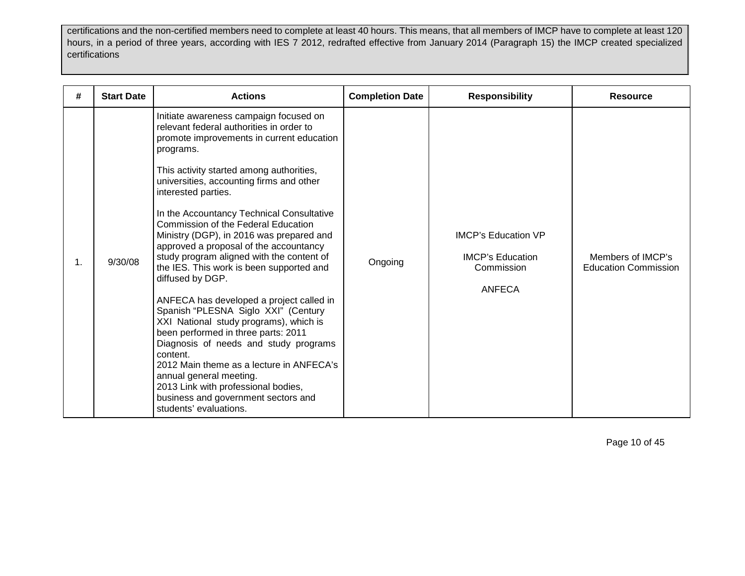certifications and the non-certified members need to complete at least 40 hours. This means, that all members of IMCP have to complete at least 120 hours, in a period of three years, according with IES 7 2012, redrafted effective from January 2014 (Paragraph 15) the IMCP created specialized certifications

| #              | <b>Start Date</b> | <b>Actions</b>                                                                                                                                                                                                                                                                                                                                                                                                                                                                                                                                                                                                                                                                                                                                                                                                                                                                                                                                             | <b>Completion Date</b> | <b>Responsibility</b>                                                                | <b>Resource</b>                                  |
|----------------|-------------------|------------------------------------------------------------------------------------------------------------------------------------------------------------------------------------------------------------------------------------------------------------------------------------------------------------------------------------------------------------------------------------------------------------------------------------------------------------------------------------------------------------------------------------------------------------------------------------------------------------------------------------------------------------------------------------------------------------------------------------------------------------------------------------------------------------------------------------------------------------------------------------------------------------------------------------------------------------|------------------------|--------------------------------------------------------------------------------------|--------------------------------------------------|
| $\mathbf{1}$ . | 9/30/08           | Initiate awareness campaign focused on<br>relevant federal authorities in order to<br>promote improvements in current education<br>programs.<br>This activity started among authorities,<br>universities, accounting firms and other<br>interested parties.<br>In the Accountancy Technical Consultative<br>Commission of the Federal Education<br>Ministry (DGP), in 2016 was prepared and<br>approved a proposal of the accountancy<br>study program aligned with the content of<br>the IES. This work is been supported and<br>diffused by DGP.<br>ANFECA has developed a project called in<br>Spanish "PLESNA Siglo XXI" (Century<br>XXI National study programs), which is<br>been performed in three parts: 2011<br>Diagnosis of needs and study programs<br>content.<br>2012 Main theme as a lecture in ANFECA's<br>annual general meeting.<br>2013 Link with professional bodies,<br>business and government sectors and<br>students' evaluations. | Ongoing                | <b>IMCP's Education VP</b><br><b>IMCP's Education</b><br>Commission<br><b>ANFECA</b> | Members of IMCP's<br><b>Education Commission</b> |

Page 10 of 45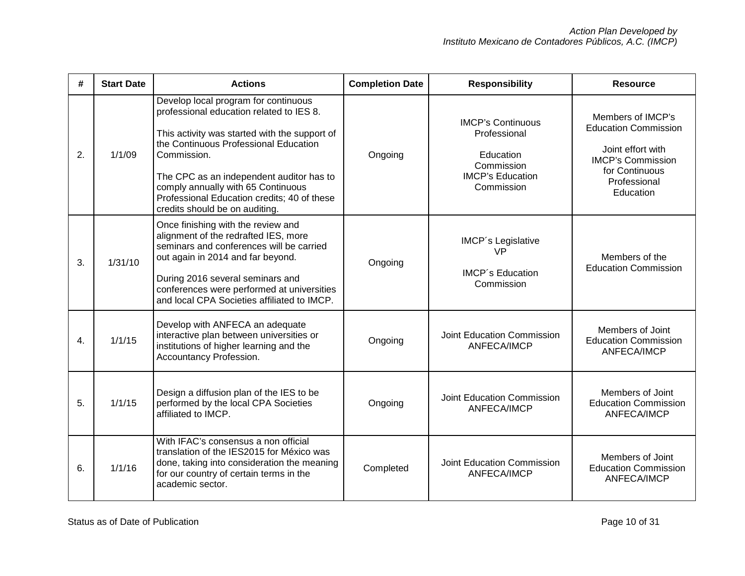| #  | <b>Start Date</b> | <b>Actions</b>                                                                                                                                                                                                                                                                                                                                               | <b>Completion Date</b> | <b>Responsibility</b>                                                                                        | <b>Resource</b>                                                                                                                                  |
|----|-------------------|--------------------------------------------------------------------------------------------------------------------------------------------------------------------------------------------------------------------------------------------------------------------------------------------------------------------------------------------------------------|------------------------|--------------------------------------------------------------------------------------------------------------|--------------------------------------------------------------------------------------------------------------------------------------------------|
| 2. | 1/1/09            | Develop local program for continuous<br>professional education related to IES 8.<br>This activity was started with the support of<br>the Continuous Professional Education<br>Commission.<br>The CPC as an independent auditor has to<br>comply annually with 65 Continuous<br>Professional Education credits; 40 of these<br>credits should be on auditing. | Ongoing                | <b>IMCP's Continuous</b><br>Professional<br>Education<br>Commission<br><b>IMCP's Education</b><br>Commission | Members of IMCP's<br><b>Education Commission</b><br>Joint effort with<br><b>IMCP's Commission</b><br>for Continuous<br>Professional<br>Education |
| 3. | 1/31/10           | Once finishing with the review and<br>alignment of the redrafted IES, more<br>seminars and conferences will be carried<br>out again in 2014 and far beyond.<br>During 2016 several seminars and<br>conferences were performed at universities<br>and local CPA Societies affiliated to IMCP.                                                                 | Ongoing                | IMCP's Legislative<br>VP<br><b>IMCP's Education</b><br>Commission                                            | Members of the<br><b>Education Commission</b>                                                                                                    |
| 4. | 1/1/15            | Develop with ANFECA an adequate<br>interactive plan between universities or<br>institutions of higher learning and the<br>Accountancy Profession.                                                                                                                                                                                                            | Ongoing                | Joint Education Commission<br>ANFECA/IMCP                                                                    | Members of Joint<br><b>Education Commission</b><br><b>ANFECA/IMCP</b>                                                                            |
| 5. | 1/1/15            | Design a diffusion plan of the IES to be<br>performed by the local CPA Societies<br>affiliated to IMCP.                                                                                                                                                                                                                                                      | Ongoing                | Joint Education Commission<br><b>ANFECA/IMCP</b>                                                             | Members of Joint<br><b>Education Commission</b><br>ANFECA/IMCP                                                                                   |
| 6. | 1/1/16            | With IFAC's consensus a non official<br>translation of the IES2015 for México was<br>done, taking into consideration the meaning<br>for our country of certain terms in the<br>academic sector.                                                                                                                                                              | Completed              | Joint Education Commission<br><b>ANFECA/IMCP</b>                                                             | Members of Joint<br><b>Education Commission</b><br><b>ANFECA/IMCP</b>                                                                            |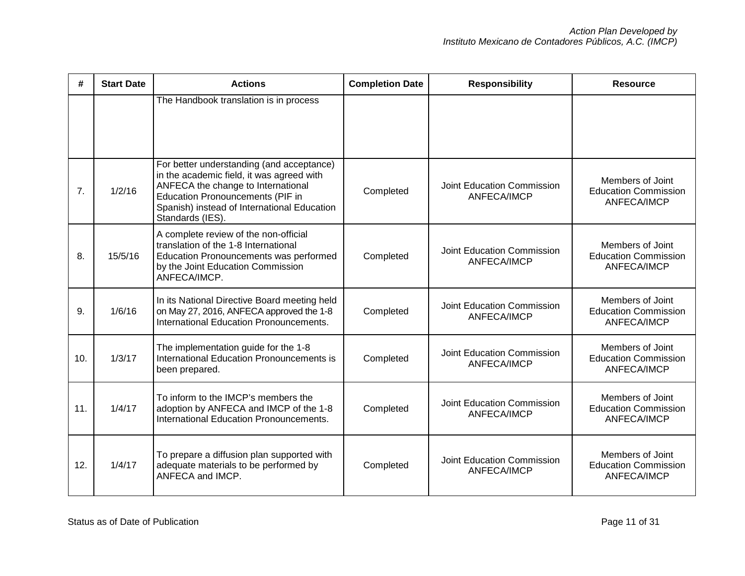| #   | <b>Start Date</b> | <b>Actions</b>                                                                                                                                                                                                                             | <b>Completion Date</b>                                 | <b>Responsibility</b>                     | <b>Resource</b>                                                       |
|-----|-------------------|--------------------------------------------------------------------------------------------------------------------------------------------------------------------------------------------------------------------------------------------|--------------------------------------------------------|-------------------------------------------|-----------------------------------------------------------------------|
|     |                   | The Handbook translation is in process                                                                                                                                                                                                     |                                                        |                                           |                                                                       |
| 7.  | 1/2/16            | For better understanding (and acceptance)<br>in the academic field, it was agreed with<br>ANFECA the change to International<br><b>Education Pronouncements (PIF in</b><br>Spanish) instead of International Education<br>Standards (IES). | Completed                                              | Joint Education Commission<br>ANFECA/IMCP | Members of Joint<br><b>Education Commission</b><br><b>ANFECA/IMCP</b> |
| 8.  | 15/5/16           | A complete review of the non-official<br>translation of the 1-8 International<br>Education Pronouncements was performed<br>by the Joint Education Commission<br>ANFECA/IMCP.                                                               | Joint Education Commission<br>Completed<br>ANFECA/IMCP |                                           | Members of Joint<br><b>Education Commission</b><br>ANFECA/IMCP        |
| 9.  | 1/6/16            | In its National Directive Board meeting held<br>on May 27, 2016, ANFECA approved the 1-8<br>International Education Pronouncements.                                                                                                        | Completed                                              | Joint Education Commission<br>ANFECA/IMCP | Members of Joint<br><b>Education Commission</b><br>ANFECA/IMCP        |
| 10. | 1/3/17            | The implementation guide for the 1-8<br>International Education Pronouncements is<br>been prepared.                                                                                                                                        | Completed                                              | Joint Education Commission<br>ANFECA/IMCP | Members of Joint<br><b>Education Commission</b><br>ANFECA/IMCP        |
| 11. | 1/4/17            | To inform to the IMCP's members the<br>adoption by ANFECA and IMCP of the 1-8<br>International Education Pronouncements.                                                                                                                   | Completed                                              | Joint Education Commission<br>ANFECA/IMCP | Members of Joint<br><b>Education Commission</b><br>ANFECA/IMCP        |
| 12. | 1/4/17            | To prepare a diffusion plan supported with<br>adequate materials to be performed by<br>ANFECA and IMCP.                                                                                                                                    | Completed                                              | Joint Education Commission<br>ANFECA/IMCP | Members of Joint<br><b>Education Commission</b><br>ANFECA/IMCP        |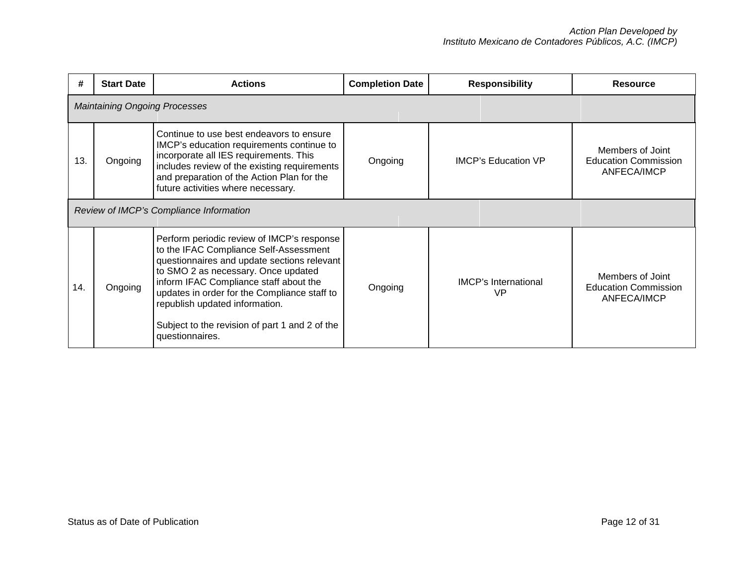| #   | <b>Start Date</b>                    | <b>Actions</b>                                                                                                                                                                                                                                                                                                                                                              | <b>Completion Date</b> | <b>Responsibility</b>             |                                                                |  |  |
|-----|--------------------------------------|-----------------------------------------------------------------------------------------------------------------------------------------------------------------------------------------------------------------------------------------------------------------------------------------------------------------------------------------------------------------------------|------------------------|-----------------------------------|----------------------------------------------------------------|--|--|
|     | <b>Maintaining Ongoing Processes</b> |                                                                                                                                                                                                                                                                                                                                                                             |                        |                                   |                                                                |  |  |
| 13. | Ongoing                              | Continue to use best endeavors to ensure<br>IMCP's education requirements continue to<br>incorporate all IES requirements. This<br>includes review of the existing requirements<br>and preparation of the Action Plan for the<br>future activities where necessary.                                                                                                         | Ongoing                | <b>IMCP's Education VP</b>        | Members of Joint<br><b>Education Commission</b><br>ANFECA/IMCP |  |  |
|     |                                      | Review of IMCP's Compliance Information                                                                                                                                                                                                                                                                                                                                     |                        |                                   |                                                                |  |  |
| 14. | Ongoing                              | Perform periodic review of IMCP's response<br>to the IFAC Compliance Self-Assessment<br>questionnaires and update sections relevant<br>to SMO 2 as necessary. Once updated<br>inform IFAC Compliance staff about the<br>updates in order for the Compliance staff to<br>republish updated information.<br>Subject to the revision of part 1 and 2 of the<br>questionnaires. | Ongoing                | <b>IMCP's International</b><br>VP | Members of Joint<br><b>Education Commission</b><br>ANFECA/IMCP |  |  |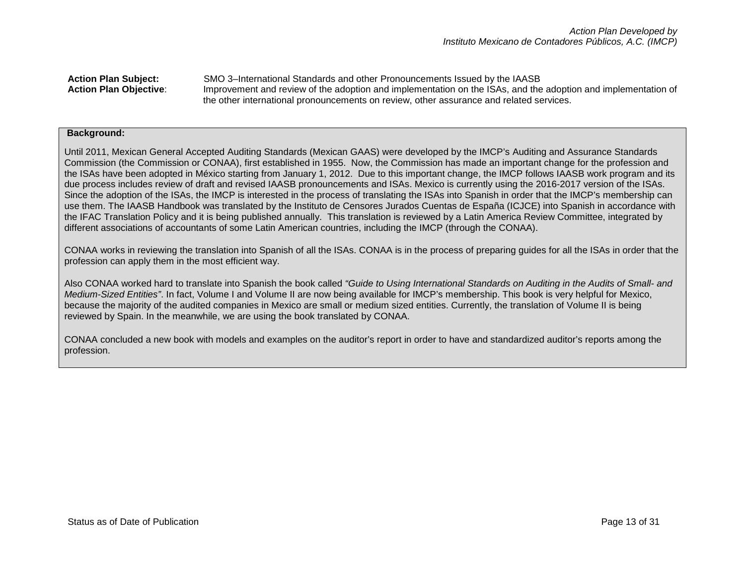**Action Plan Subject:** SMO 3–International Standards and other Pronouncements Issued by the IAASB **Action Plan Objective**: Improvement and review of the adoption and implementation on the ISAs, and the adoption and implementation of the other international pronouncements on review, other assurance and related services.

#### **Background:**

Until 2011, Mexican General Accepted Auditing Standards (Mexican GAAS) were developed by the IMCP's Auditing and Assurance Standards Commission (the Commission or CONAA), first established in 1955. Now, the Commission has made an important change for the profession and the ISAs have been adopted in México starting from January 1, 2012. Due to this important change, the IMCP follows IAASB work program and its due process includes review of draft and revised IAASB pronouncements and ISAs. Mexico is currently using the 2016-2017 version of the ISAs. Since the adoption of the ISAs, the IMCP is interested in the process of translating the ISAs into Spanish in order that the IMCP's membership can use them. The IAASB Handbook was translated by the Instituto de Censores Jurados Cuentas de España (ICJCE) into Spanish in accordance with the IFAC Translation Policy and it is being published annually. This translation is reviewed by a Latin America Review Committee, integrated by different associations of accountants of some Latin American countries, including the IMCP (through the CONAA).

CONAA works in reviewing the translation into Spanish of all the ISAs. CONAA is in the process of preparing guides for all the ISAs in order that the profession can apply them in the most efficient way.

Also CONAA worked hard to translate into Spanish the book called *"Guide to Using International Standards on Auditing in the Audits of Small- and Medium-Sized Entities"*. In fact, Volume I and Volume II are now being available for IMCP's membership. This book is very helpful for Mexico, because the majority of the audited companies in Mexico are small or medium sized entities. Currently, the translation of Volume II is being reviewed by Spain. In the meanwhile, we are using the book translated by CONAA.

CONAA concluded a new book with models and examples on the auditor's report in order to have and standardized auditor's reports among the profession.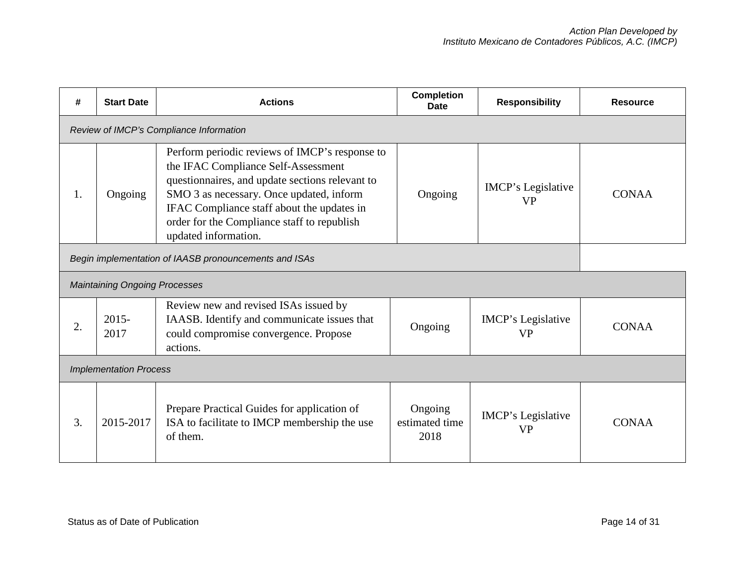| #                                                     | <b>Start Date</b>                       | <b>Actions</b>                                                                                                                                                                                                                                                                                            | <b>Completion</b><br>Date         | <b>Responsibility</b>           | <b>Resource</b> |  |  |
|-------------------------------------------------------|-----------------------------------------|-----------------------------------------------------------------------------------------------------------------------------------------------------------------------------------------------------------------------------------------------------------------------------------------------------------|-----------------------------------|---------------------------------|-----------------|--|--|
|                                                       | Review of IMCP's Compliance Information |                                                                                                                                                                                                                                                                                                           |                                   |                                 |                 |  |  |
| 1.                                                    | Ongoing                                 | Perform periodic reviews of IMCP's response to<br>the IFAC Compliance Self-Assessment<br>questionnaires, and update sections relevant to<br>SMO 3 as necessary. Once updated, inform<br>IFAC Compliance staff about the updates in<br>order for the Compliance staff to republish<br>updated information. | Ongoing                           | IMCP's Legislative<br><b>VP</b> | <b>CONAA</b>    |  |  |
| Begin implementation of IAASB pronouncements and ISAs |                                         |                                                                                                                                                                                                                                                                                                           |                                   |                                 |                 |  |  |
|                                                       | <b>Maintaining Ongoing Processes</b>    |                                                                                                                                                                                                                                                                                                           |                                   |                                 |                 |  |  |
| 2.                                                    | $2015 -$<br>2017                        | Review new and revised ISAs issued by<br>IAASB. Identify and communicate issues that<br>could compromise convergence. Propose<br>actions.                                                                                                                                                                 | Ongoing                           | IMCP's Legislative<br><b>VP</b> | <b>CONAA</b>    |  |  |
|                                                       | <b>Implementation Process</b>           |                                                                                                                                                                                                                                                                                                           |                                   |                                 |                 |  |  |
| 3.                                                    | 2015-2017                               | Prepare Practical Guides for application of<br>ISA to facilitate to IMCP membership the use<br>of them.                                                                                                                                                                                                   | Ongoing<br>estimated time<br>2018 | IMCP's Legislative<br><b>VP</b> | <b>CONAA</b>    |  |  |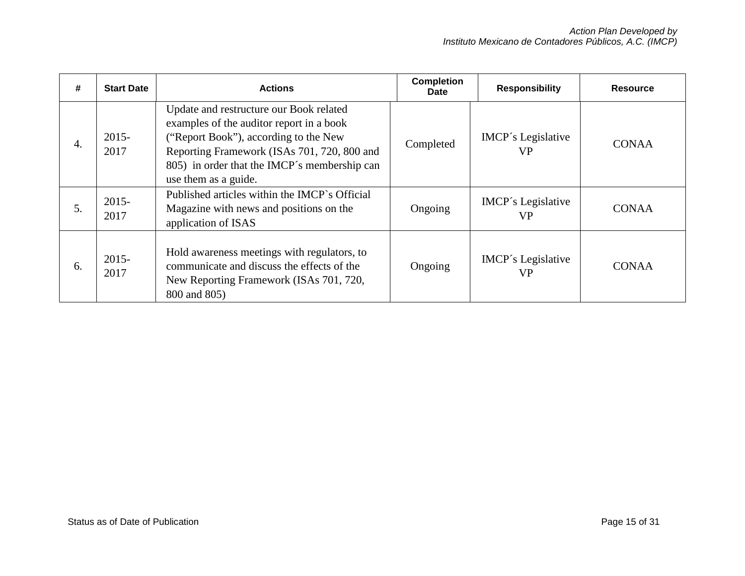| #                | <b>Start Date</b> | <b>Actions</b>                                                                                                                                                                                                                                      | <b>Completion</b><br><b>Date</b> | <b>Responsibility</b>                  | <b>Resource</b> |
|------------------|-------------------|-----------------------------------------------------------------------------------------------------------------------------------------------------------------------------------------------------------------------------------------------------|----------------------------------|----------------------------------------|-----------------|
| $\overline{4}$ . | $2015 -$<br>2017  | Update and restructure our Book related<br>examples of the auditor report in a book<br>("Report Book"), according to the New<br>Reporting Framework (ISAs 701, 720, 800 and<br>805) in order that the IMCP's membership can<br>use them as a guide. | Completed                        | <b>IMCP's Legislative</b><br><b>VP</b> | <b>CONAA</b>    |
| 5.               | $2015 -$<br>2017  | Published articles within the IMCP's Official<br>Magazine with news and positions on the<br>application of ISAS                                                                                                                                     | Ongoing                          | <b>IMCP's Legislative</b><br><b>VP</b> | <b>CONAA</b>    |
| 6.               | $2015 -$<br>2017  | Hold awareness meetings with regulators, to<br>communicate and discuss the effects of the<br>New Reporting Framework (ISAs 701, 720,<br>800 and 805)                                                                                                | Ongoing                          | <b>IMCP's Legislative</b><br><b>VP</b> | <b>CONAA</b>    |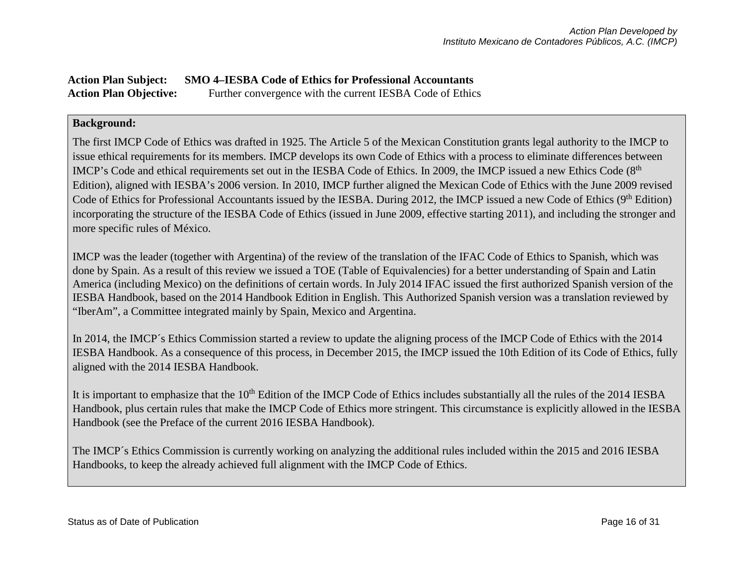# **Action Plan Subject: SMO 4–IESBA Code of Ethics for Professional Accountants**  Action Plan Objective: Further convergence with the current IESBA Code of Ethics

# **Background:**

The first IMCP Code of Ethics was drafted in 1925. The Article 5 of the Mexican Constitution grants legal authority to the IMCP to issue ethical requirements for its members. IMCP develops its own Code of Ethics with a process to eliminate differences between IMCP's Code and ethical requirements set out in the IESBA Code of Ethics. In 2009, the IMCP issued a new Ethics Code (8<sup>th</sup>) Edition), aligned with IESBA's 2006 version. In 2010, IMCP further aligned the Mexican Code of Ethics with the June 2009 revised Code of Ethics for Professional Accountants issued by the IESBA. During 2012, the IMCP issued a new Code of Ethics (9<sup>th</sup> Edition) incorporating the structure of the IESBA Code of Ethics (issued in June 2009, effective starting 2011), and including the stronger and more specific rules of México.

IMCP was the leader (together with Argentina) of the review of the translation of the IFAC Code of Ethics to Spanish, which was done by Spain. As a result of this review we issued a TOE (Table of Equivalencies) for a better understanding of Spain and Latin America (including Mexico) on the definitions of certain words. In July 2014 IFAC issued the first authorized Spanish version of the IESBA Handbook, based on the 2014 Handbook Edition in English. This Authorized Spanish version was a translation reviewed by "IberAm", a Committee integrated mainly by Spain, Mexico and Argentina.

In 2014, the IMCP´s Ethics Commission started a review to update the aligning process of the IMCP Code of Ethics with the 2014 IESBA Handbook. As a consequence of this process, in December 2015, the IMCP issued the 10th Edition of its Code of Ethics, fully aligned with the 2014 IESBA Handbook.

It is important to emphasize that the  $10<sup>th</sup>$  Edition of the IMCP Code of Ethics includes substantially all the rules of the 2014 IESBA Handbook, plus certain rules that make the IMCP Code of Ethics more stringent. This circumstance is explicitly allowed in the IESBA Handbook (see the Preface of the current 2016 IESBA Handbook).

The IMCP´s Ethics Commission is currently working on analyzing the additional rules included within the 2015 and 2016 IESBA Handbooks, to keep the already achieved full alignment with the IMCP Code of Ethics.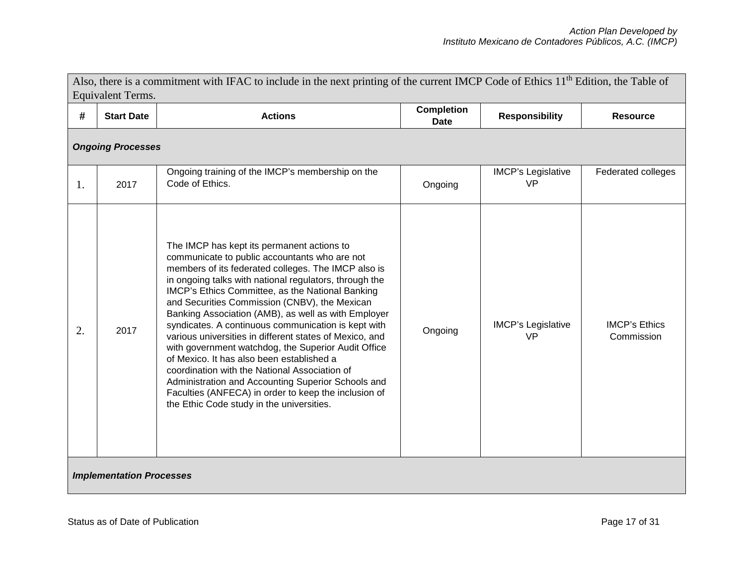|    | Equivalent Terms.               | Also, there is a commitment with IFAC to include in the next printing of the current IMCP Code of Ethics 11 <sup>th</sup> Edition, the Table of                                                                                                                                                                                                                                                                                                                                                                                                                                                                                                                                                                                                                                                            |                                  |                                        |                                    |
|----|---------------------------------|------------------------------------------------------------------------------------------------------------------------------------------------------------------------------------------------------------------------------------------------------------------------------------------------------------------------------------------------------------------------------------------------------------------------------------------------------------------------------------------------------------------------------------------------------------------------------------------------------------------------------------------------------------------------------------------------------------------------------------------------------------------------------------------------------------|----------------------------------|----------------------------------------|------------------------------------|
| #  | <b>Start Date</b>               | <b>Actions</b>                                                                                                                                                                                                                                                                                                                                                                                                                                                                                                                                                                                                                                                                                                                                                                                             | <b>Completion</b><br><b>Date</b> | <b>Responsibility</b>                  | <b>Resource</b>                    |
|    | <b>Ongoing Processes</b>        |                                                                                                                                                                                                                                                                                                                                                                                                                                                                                                                                                                                                                                                                                                                                                                                                            |                                  |                                        |                                    |
| 1. | 2017                            | Ongoing training of the IMCP's membership on the<br>Code of Ethics.                                                                                                                                                                                                                                                                                                                                                                                                                                                                                                                                                                                                                                                                                                                                        | Ongoing                          | <b>IMCP's Legislative</b><br><b>VP</b> | Federated colleges                 |
| 2. | 2017                            | The IMCP has kept its permanent actions to<br>communicate to public accountants who are not<br>members of its federated colleges. The IMCP also is<br>in ongoing talks with national regulators, through the<br>IMCP's Ethics Committee, as the National Banking<br>and Securities Commission (CNBV), the Mexican<br>Banking Association (AMB), as well as with Employer<br>syndicates. A continuous communication is kept with<br>various universities in different states of Mexico, and<br>with government watchdog, the Superior Audit Office<br>of Mexico. It has also been established a<br>coordination with the National Association of<br>Administration and Accounting Superior Schools and<br>Faculties (ANFECA) in order to keep the inclusion of<br>the Ethic Code study in the universities. | Ongoing                          | <b>IMCP's Legislative</b><br><b>VP</b> | <b>IMCP's Ethics</b><br>Commission |
|    | <b>Implementation Processes</b> |                                                                                                                                                                                                                                                                                                                                                                                                                                                                                                                                                                                                                                                                                                                                                                                                            |                                  |                                        |                                    |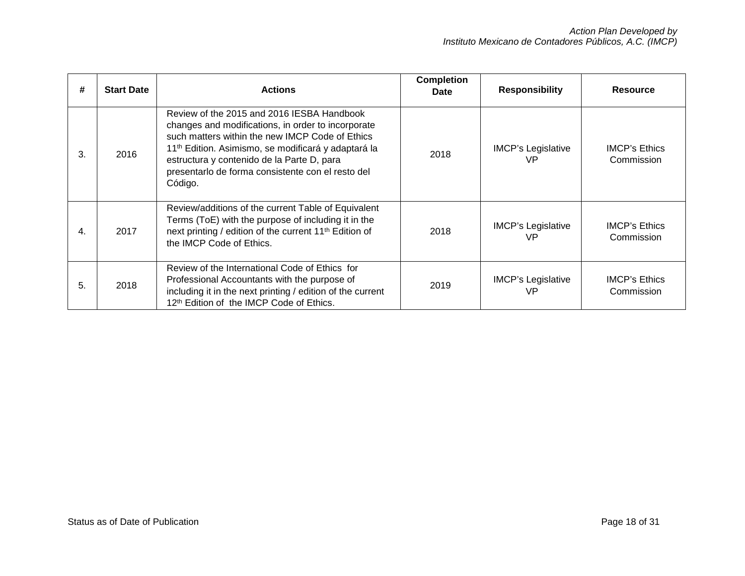| #  | <b>Start Date</b> | <b>Actions</b>                                                                                                                                                                                                                                                                                                                       | <b>Completion</b><br><b>Date</b> | <b>Responsibility</b>           | <b>Resource</b>                    |
|----|-------------------|--------------------------------------------------------------------------------------------------------------------------------------------------------------------------------------------------------------------------------------------------------------------------------------------------------------------------------------|----------------------------------|---------------------------------|------------------------------------|
| 3. | 2016              | Review of the 2015 and 2016 IESBA Handbook<br>changes and modifications, in order to incorporate<br>such matters within the new IMCP Code of Ethics<br>11 <sup>th</sup> Edition. Asimismo, se modificará y adaptará la<br>estructura y contenido de la Parte D, para<br>presentarlo de forma consistente con el resto del<br>Código. | 2018                             | <b>IMCP's Legislative</b><br>VP | <b>IMCP's Ethics</b><br>Commission |
| 4. | 2017              | Review/additions of the current Table of Equivalent<br>Terms (ToE) with the purpose of including it in the<br>next printing / edition of the current 11 <sup>th</sup> Edition of<br>the IMCP Code of Ethics.                                                                                                                         | 2018                             | <b>IMCP's Legislative</b><br>VP | <b>IMCP's Ethics</b><br>Commission |
| 5. | 2018              | Review of the International Code of Ethics for<br>Professional Accountants with the purpose of<br>including it in the next printing / edition of the current<br>12th Edition of the IMCP Code of Ethics.                                                                                                                             | 2019                             | <b>IMCP's Legislative</b><br>VP | <b>IMCP's Ethics</b><br>Commission |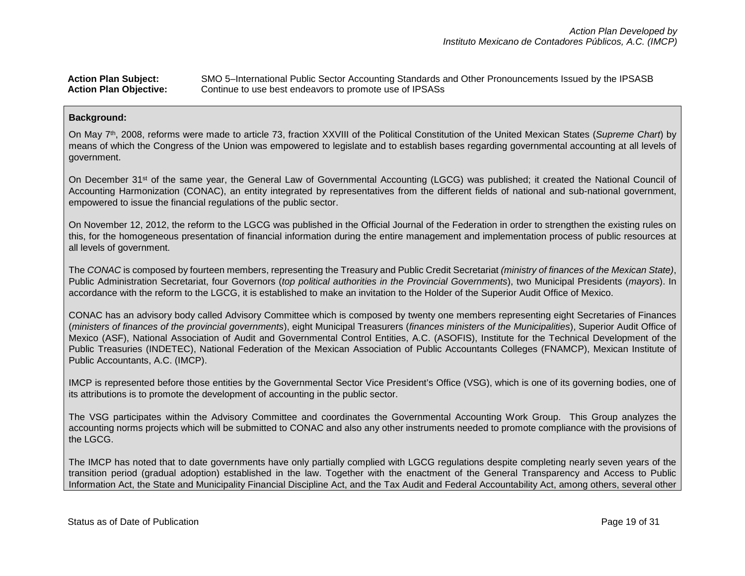### **Action Plan Subject:** SMO 5–International Public Sector Accounting Standards and Other Pronouncements Issued by the IPSASB **Action Plan Objective:** Continue to use best endeavors to promote use of IPSASs

### **Background:**

On May 7th, 2008, reforms were made to article 73, fraction XXVIII of the Political Constitution of the United Mexican States (*Supreme Chart*) by means of which the Congress of the Union was empowered to legislate and to establish bases regarding governmental accounting at all levels of government.

On December 31st of the same year, the General Law of Governmental Accounting (LGCG) was published; it created the National Council of Accounting Harmonization (CONAC), an entity integrated by representatives from the different fields of national and sub-national government, empowered to issue the financial regulations of the public sector.

On November 12, 2012, the reform to the LGCG was published in the Official Journal of the Federation in order to strengthen the existing rules on this, for the homogeneous presentation of financial information during the entire management and implementation process of public resources at all levels of government.

The *CONAC* is composed by fourteen members, representing the Treasury and Public Credit Secretariat *(ministry of finances of the Mexican State)*, Public Administration Secretariat, four Governors (*top political authorities in the Provincial Governments*), two Municipal Presidents (*mayors*). In accordance with the reform to the LGCG, it is established to make an invitation to the Holder of the Superior Audit Office of Mexico.

CONAC has an advisory body called Advisory Committee which is composed by twenty one members representing eight Secretaries of Finances (*ministers of finances of the provincial governments*), eight Municipal Treasurers (*finances ministers of the Municipalities*), Superior Audit Office of Mexico (ASF), National Association of Audit and Governmental Control Entities, A.C. (ASOFIS), Institute for the Technical Development of the Public Treasuries (INDETEC), National Federation of the Mexican Association of Public Accountants Colleges (FNAMCP), Mexican Institute of Public Accountants, A.C. (IMCP).

IMCP is represented before those entities by the Governmental Sector Vice President's Office (VSG), which is one of its governing bodies, one of its attributions is to promote the development of accounting in the public sector.

The VSG participates within the Advisory Committee and coordinates the Governmental Accounting Work Group. This Group analyzes the accounting norms projects which will be submitted to CONAC and also any other instruments needed to promote compliance with the provisions of the LGCG.

The IMCP has noted that to date governments have only partially complied with LGCG regulations despite completing nearly seven years of the transition period (gradual adoption) established in the law. Together with the enactment of the General Transparency and Access to Public Information Act, the State and Municipality Financial Discipline Act, and the Tax Audit and Federal Accountability Act, among others, several other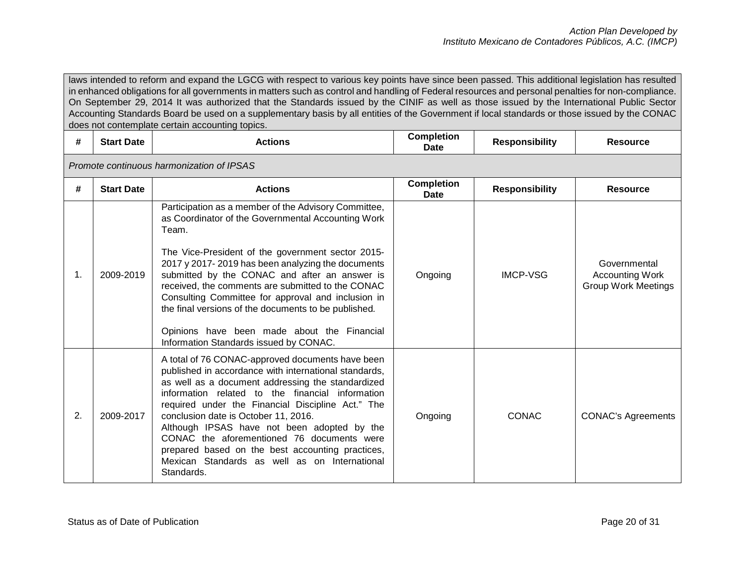laws intended to reform and expand the LGCG with respect to various key points have since been passed. This additional legislation has resulted in enhanced obligations for all governments in matters such as control and handling of Federal resources and personal penalties for non-compliance. On September 29, 2014 It was authorized that the Standards issued by the CINIF as well as those issued by the International Public Sector Accounting Standards Board be used on a supplementary basis by all entities of the Government if local standards or those issued by the CONAC does not contemplate certain accounting topics.

| #  | <b>Start Date</b>                         | <b>Actions</b>                                                                                                                                                                                                                                                                                                                                                                                                                                                                                                                             | <b>Completion</b><br>Date | <b>Responsibility</b> | <b>Resource</b>                                                      |  |  |  |  |  |
|----|-------------------------------------------|--------------------------------------------------------------------------------------------------------------------------------------------------------------------------------------------------------------------------------------------------------------------------------------------------------------------------------------------------------------------------------------------------------------------------------------------------------------------------------------------------------------------------------------------|---------------------------|-----------------------|----------------------------------------------------------------------|--|--|--|--|--|
|    | Promote continuous harmonization of IPSAS |                                                                                                                                                                                                                                                                                                                                                                                                                                                                                                                                            |                           |                       |                                                                      |  |  |  |  |  |
| #  | <b>Start Date</b>                         | <b>Actions</b>                                                                                                                                                                                                                                                                                                                                                                                                                                                                                                                             | <b>Completion</b><br>Date | <b>Responsibility</b> | <b>Resource</b>                                                      |  |  |  |  |  |
| 1. | 2009-2019                                 | Participation as a member of the Advisory Committee,<br>as Coordinator of the Governmental Accounting Work<br>Team.<br>The Vice-President of the government sector 2015-<br>2017 y 2017-2019 has been analyzing the documents<br>submitted by the CONAC and after an answer is<br>received, the comments are submitted to the CONAC<br>Consulting Committee for approval and inclusion in<br>the final versions of the documents to be published.<br>Opinions have been made about the Financial<br>Information Standards issued by CONAC. | Ongoing                   | <b>IMCP-VSG</b>       | Governmental<br><b>Accounting Work</b><br><b>Group Work Meetings</b> |  |  |  |  |  |
| 2. | 2009-2017                                 | A total of 76 CONAC-approved documents have been<br>published in accordance with international standards,<br>as well as a document addressing the standardized<br>information related to the financial information<br>required under the Financial Discipline Act." The<br>conclusion date is October 11, 2016.<br>Although IPSAS have not been adopted by the<br>CONAC the aforementioned 76 documents were<br>prepared based on the best accounting practices,<br>Mexican Standards as well as on International<br>Standards.            | Ongoing                   | <b>CONAC</b>          | <b>CONAC's Agreements</b>                                            |  |  |  |  |  |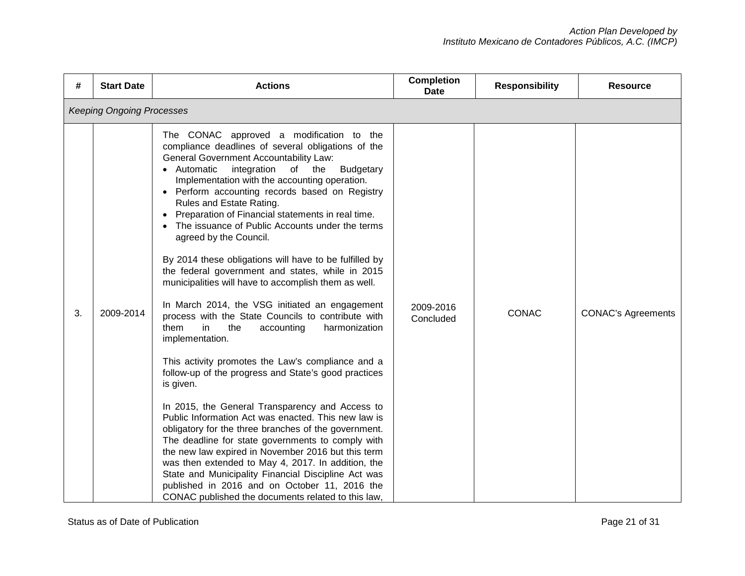| #  | <b>Start Date</b>                | <b>Actions</b>                                                                                                                                                                                                                                                                                                                                                                                                                                                                                                                                                                                                                                                                                                                                                                                                                                                                                                                                                                                                                                                                                                                                                                                                                                                                                                                                                                                                                                                         | <b>Completion</b><br><b>Date</b> | <b>Responsibility</b> | <b>Resource</b>           |  |  |  |  |
|----|----------------------------------|------------------------------------------------------------------------------------------------------------------------------------------------------------------------------------------------------------------------------------------------------------------------------------------------------------------------------------------------------------------------------------------------------------------------------------------------------------------------------------------------------------------------------------------------------------------------------------------------------------------------------------------------------------------------------------------------------------------------------------------------------------------------------------------------------------------------------------------------------------------------------------------------------------------------------------------------------------------------------------------------------------------------------------------------------------------------------------------------------------------------------------------------------------------------------------------------------------------------------------------------------------------------------------------------------------------------------------------------------------------------------------------------------------------------------------------------------------------------|----------------------------------|-----------------------|---------------------------|--|--|--|--|
|    | <b>Keeping Ongoing Processes</b> |                                                                                                                                                                                                                                                                                                                                                                                                                                                                                                                                                                                                                                                                                                                                                                                                                                                                                                                                                                                                                                                                                                                                                                                                                                                                                                                                                                                                                                                                        |                                  |                       |                           |  |  |  |  |
| 3. | 2009-2014                        | The CONAC approved a modification to the<br>compliance deadlines of several obligations of the<br><b>General Government Accountability Law:</b><br>• Automatic<br>integration of the<br><b>Budgetary</b><br>Implementation with the accounting operation.<br>• Perform accounting records based on Registry<br>Rules and Estate Rating.<br>Preparation of Financial statements in real time.<br>$\bullet$<br>The issuance of Public Accounts under the terms<br>agreed by the Council.<br>By 2014 these obligations will have to be fulfilled by<br>the federal government and states, while in 2015<br>municipalities will have to accomplish them as well.<br>In March 2014, the VSG initiated an engagement<br>process with the State Councils to contribute with<br>them<br>in<br>the<br>harmonization<br>accounting<br>implementation.<br>This activity promotes the Law's compliance and a<br>follow-up of the progress and State's good practices<br>is given.<br>In 2015, the General Transparency and Access to<br>Public Information Act was enacted. This new law is<br>obligatory for the three branches of the government.<br>The deadline for state governments to comply with<br>the new law expired in November 2016 but this term<br>was then extended to May 4, 2017. In addition, the<br>State and Municipality Financial Discipline Act was<br>published in 2016 and on October 11, 2016 the<br>CONAC published the documents related to this law, | 2009-2016<br>Concluded           | <b>CONAC</b>          | <b>CONAC's Agreements</b> |  |  |  |  |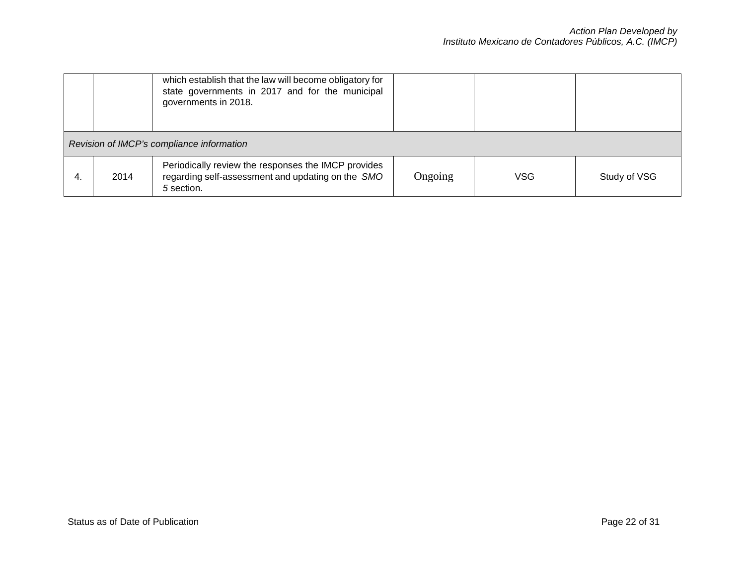|    |                                           | which establish that the law will become obligatory for<br>state governments in 2017 and for the municipal<br>governments in 2018. |         |     |              |  |  |
|----|-------------------------------------------|------------------------------------------------------------------------------------------------------------------------------------|---------|-----|--------------|--|--|
|    | Revision of IMCP's compliance information |                                                                                                                                    |         |     |              |  |  |
| 4. | 2014                                      | Periodically review the responses the IMCP provides<br>regarding self-assessment and updating on the SMO<br>5 section.             | Ongoing | VSG | Study of VSG |  |  |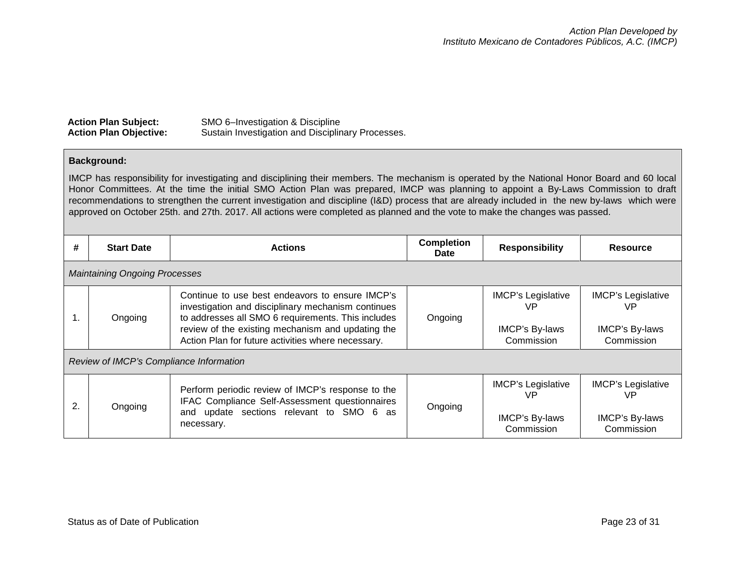| <b>Action Plan Subject:</b>   | SMO 6-Investigation & Discipline                  |
|-------------------------------|---------------------------------------------------|
| <b>Action Plan Objective:</b> | Sustain Investigation and Disciplinary Processes. |

### **Background:**

IMCP has responsibility for investigating and disciplining their members. The mechanism is operated by the National Honor Board and 60 local Honor Committees. At the time the initial SMO Action Plan was prepared, IMCP was planning to appoint a By-Laws Commission to draft recommendations to strengthen the current investigation and discipline (I&D) process that are already included in the new by-laws which were approved on October 25th. and 27th. 2017. All actions were completed as planned and the vote to make the changes was passed.

| #            | <b>Start Date</b>                       | <b>Actions</b>                                                                                                                                                                                                                                                         | <b>Completion</b><br>Date | <b>Responsibility</b>                                           | <b>Resource</b>                                                        |  |  |  |
|--------------|-----------------------------------------|------------------------------------------------------------------------------------------------------------------------------------------------------------------------------------------------------------------------------------------------------------------------|---------------------------|-----------------------------------------------------------------|------------------------------------------------------------------------|--|--|--|
|              | <b>Maintaining Ongoing Processes</b>    |                                                                                                                                                                                                                                                                        |                           |                                                                 |                                                                        |  |  |  |
| 1.           | Ongoing                                 | Continue to use best endeavors to ensure IMCP's<br>investigation and disciplinary mechanism continues<br>to addresses all SMO 6 requirements. This includes<br>review of the existing mechanism and updating the<br>Action Plan for future activities where necessary. | Ongoing                   | <b>IMCP's Legislative</b><br>VP<br>IMCP's By-laws<br>Commission | <b>IMCP's Legislative</b><br>VP<br><b>IMCP's By-laws</b><br>Commission |  |  |  |
|              | Review of IMCP's Compliance Information |                                                                                                                                                                                                                                                                        |                           |                                                                 |                                                                        |  |  |  |
| $\mathbf{2}$ | Ongoing                                 | Perform periodic review of IMCP's response to the<br>IFAC Compliance Self-Assessment questionnaires<br>and update sections relevant to SMO 6 as<br>necessary.                                                                                                          | Ongoing                   | <b>IMCP's Legislative</b><br>VP<br>IMCP's By-laws<br>Commission | <b>IMCP's Legislative</b><br>VP<br>IMCP's By-laws<br>Commission        |  |  |  |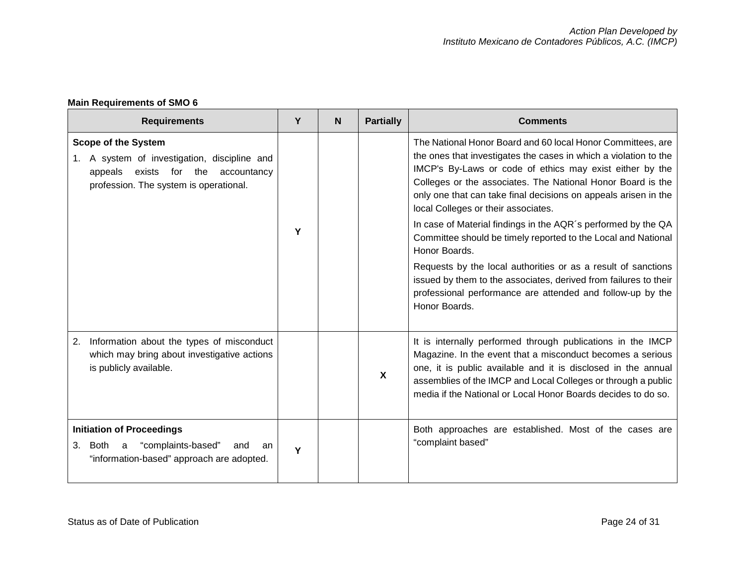# **Main Requirements of SMO 6**

| <b>Requirements</b>                                                                                                                                              | Y | N | <b>Partially</b>          | <b>Comments</b>                                                                                                                                                                                                                                                                                                                                                      |
|------------------------------------------------------------------------------------------------------------------------------------------------------------------|---|---|---------------------------|----------------------------------------------------------------------------------------------------------------------------------------------------------------------------------------------------------------------------------------------------------------------------------------------------------------------------------------------------------------------|
| <b>Scope of the System</b><br>1. A system of investigation, discipline and<br>exists for the<br>appeals<br>accountancy<br>profession. The system is operational. |   |   |                           | The National Honor Board and 60 local Honor Committees, are<br>the ones that investigates the cases in which a violation to the<br>IMCP's By-Laws or code of ethics may exist either by the<br>Colleges or the associates. The National Honor Board is the<br>only one that can take final decisions on appeals arisen in the<br>local Colleges or their associates. |
|                                                                                                                                                                  | Υ |   |                           | In case of Material findings in the AQR's performed by the QA<br>Committee should be timely reported to the Local and National<br>Honor Boards.                                                                                                                                                                                                                      |
|                                                                                                                                                                  |   |   |                           | Requests by the local authorities or as a result of sanctions<br>issued by them to the associates, derived from failures to their<br>professional performance are attended and follow-up by the<br>Honor Boards.                                                                                                                                                     |
| Information about the types of misconduct<br>2.<br>which may bring about investigative actions<br>is publicly available.                                         |   |   | $\boldsymbol{\mathsf{X}}$ | It is internally performed through publications in the IMCP<br>Magazine. In the event that a misconduct becomes a serious<br>one, it is public available and it is disclosed in the annual<br>assemblies of the IMCP and Local Colleges or through a public<br>media if the National or Local Honor Boards decides to do so.                                         |
| <b>Initiation of Proceedings</b><br>"complaints-based"<br>3. Both a<br>and<br>an<br>"information-based" approach are adopted.                                    | Y |   |                           | Both approaches are established. Most of the cases are<br>"complaint based"                                                                                                                                                                                                                                                                                          |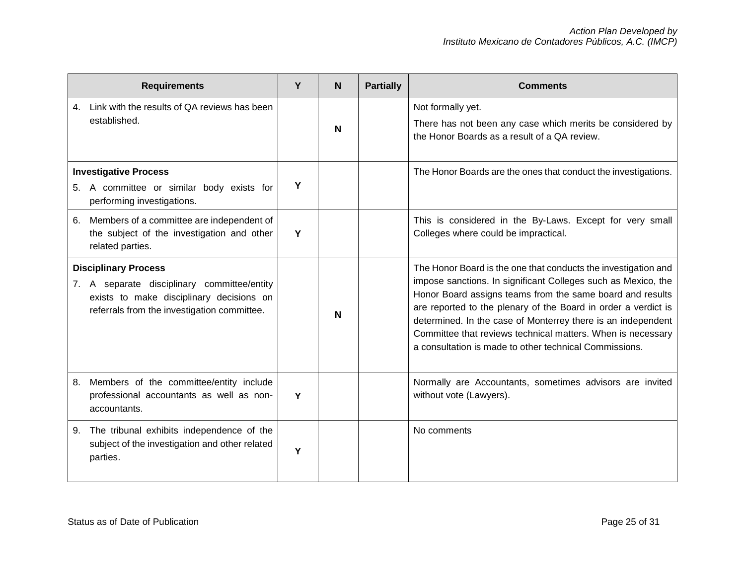|    | <b>Requirements</b>                                                                                                                                                   | Y | N | <b>Partially</b> | <b>Comments</b>                                                                                                                                                                                                                                                                                                                                                                                                                                         |
|----|-----------------------------------------------------------------------------------------------------------------------------------------------------------------------|---|---|------------------|---------------------------------------------------------------------------------------------------------------------------------------------------------------------------------------------------------------------------------------------------------------------------------------------------------------------------------------------------------------------------------------------------------------------------------------------------------|
| 4. | Link with the results of QA reviews has been<br>established.                                                                                                          |   | N |                  | Not formally yet.<br>There has not been any case which merits be considered by<br>the Honor Boards as a result of a QA review.                                                                                                                                                                                                                                                                                                                          |
|    | <b>Investigative Process</b><br>5. A committee or similar body exists for<br>performing investigations.                                                               | Y |   |                  | The Honor Boards are the ones that conduct the investigations.                                                                                                                                                                                                                                                                                                                                                                                          |
| 6. | Members of a committee are independent of<br>the subject of the investigation and other<br>related parties.                                                           | Y |   |                  | This is considered in the By-Laws. Except for very small<br>Colleges where could be impractical.                                                                                                                                                                                                                                                                                                                                                        |
|    | <b>Disciplinary Process</b><br>7. A separate disciplinary committee/entity<br>exists to make disciplinary decisions on<br>referrals from the investigation committee. |   | N |                  | The Honor Board is the one that conducts the investigation and<br>impose sanctions. In significant Colleges such as Mexico, the<br>Honor Board assigns teams from the same board and results<br>are reported to the plenary of the Board in order a verdict is<br>determined. In the case of Monterrey there is an independent<br>Committee that reviews technical matters. When is necessary<br>a consultation is made to other technical Commissions. |
| 8. | Members of the committee/entity include<br>professional accountants as well as non-<br>accountants.                                                                   | Y |   |                  | Normally are Accountants, sometimes advisors are invited<br>without vote (Lawyers).                                                                                                                                                                                                                                                                                                                                                                     |
| 9. | The tribunal exhibits independence of the<br>subject of the investigation and other related<br>parties.                                                               | Υ |   |                  | No comments                                                                                                                                                                                                                                                                                                                                                                                                                                             |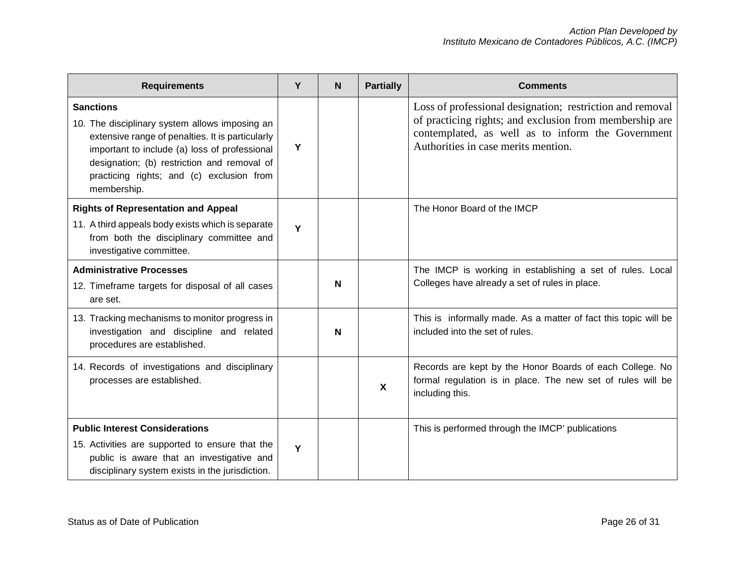| <b>Requirements</b>                                                                                                                                                                                                                                                                | Υ | N | <b>Partially</b>          | <b>Comments</b>                                                                                                                                                                                                  |
|------------------------------------------------------------------------------------------------------------------------------------------------------------------------------------------------------------------------------------------------------------------------------------|---|---|---------------------------|------------------------------------------------------------------------------------------------------------------------------------------------------------------------------------------------------------------|
| <b>Sanctions</b><br>10. The disciplinary system allows imposing an<br>extensive range of penalties. It is particularly<br>important to include (a) loss of professional<br>designation; (b) restriction and removal of<br>practicing rights; and (c) exclusion from<br>membership. | Υ |   |                           | Loss of professional designation; restriction and removal<br>of practicing rights; and exclusion from membership are<br>contemplated, as well as to inform the Government<br>Authorities in case merits mention. |
| <b>Rights of Representation and Appeal</b>                                                                                                                                                                                                                                         |   |   |                           | The Honor Board of the IMCP                                                                                                                                                                                      |
| 11. A third appeals body exists which is separate<br>from both the disciplinary committee and<br>investigative committee.                                                                                                                                                          | Y |   |                           |                                                                                                                                                                                                                  |
| <b>Administrative Processes</b>                                                                                                                                                                                                                                                    |   |   |                           | The IMCP is working in establishing a set of rules. Local                                                                                                                                                        |
| 12. Timeframe targets for disposal of all cases<br>are set.                                                                                                                                                                                                                        |   | N |                           | Colleges have already a set of rules in place.                                                                                                                                                                   |
| 13. Tracking mechanisms to monitor progress in<br>investigation and discipline and related<br>procedures are established.                                                                                                                                                          |   | N |                           | This is informally made. As a matter of fact this topic will be<br>included into the set of rules.                                                                                                               |
| 14. Records of investigations and disciplinary<br>processes are established.                                                                                                                                                                                                       |   |   | $\boldsymbol{\mathsf{X}}$ | Records are kept by the Honor Boards of each College. No<br>formal regulation is in place. The new set of rules will be<br>including this.                                                                       |
| <b>Public Interest Considerations</b>                                                                                                                                                                                                                                              |   |   |                           | This is performed through the IMCP' publications                                                                                                                                                                 |
| 15. Activities are supported to ensure that the<br>public is aware that an investigative and<br>disciplinary system exists in the jurisdiction.                                                                                                                                    | Υ |   |                           |                                                                                                                                                                                                                  |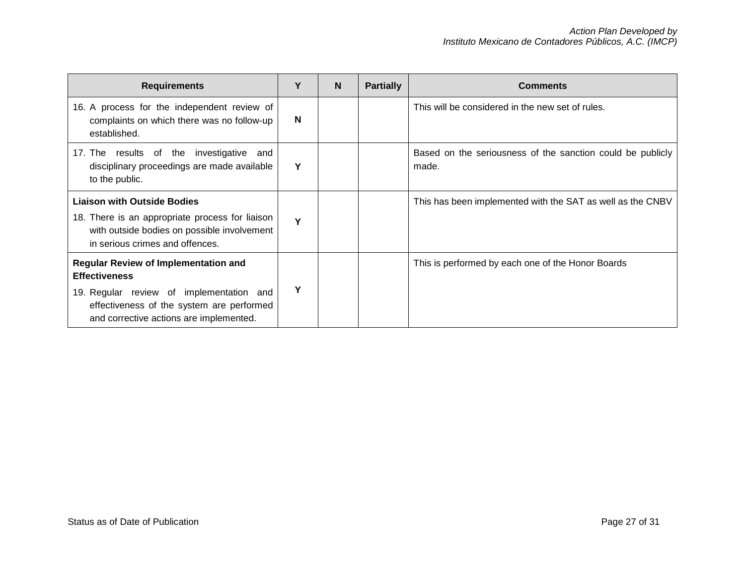| <b>Requirements</b>                                                                                                                                                                                     | Υ | <b>N</b> | <b>Partially</b> | <b>Comments</b>                                                     |
|---------------------------------------------------------------------------------------------------------------------------------------------------------------------------------------------------------|---|----------|------------------|---------------------------------------------------------------------|
| 16. A process for the independent review of<br>complaints on which there was no follow-up<br>established.                                                                                               | N |          |                  | This will be considered in the new set of rules.                    |
| 17. The results of the investigative<br>and<br>disciplinary proceedings are made available<br>to the public.                                                                                            | Y |          |                  | Based on the seriousness of the sanction could be publicly<br>made. |
| <b>Liaison with Outside Bodies</b><br>18. There is an appropriate process for liaison<br>with outside bodies on possible involvement<br>in serious crimes and offences.                                 | Υ |          |                  | This has been implemented with the SAT as well as the CNBV          |
| <b>Regular Review of Implementation and</b><br><b>Effectiveness</b><br>19. Regular review of implementation and<br>effectiveness of the system are performed<br>and corrective actions are implemented. | Υ |          |                  | This is performed by each one of the Honor Boards                   |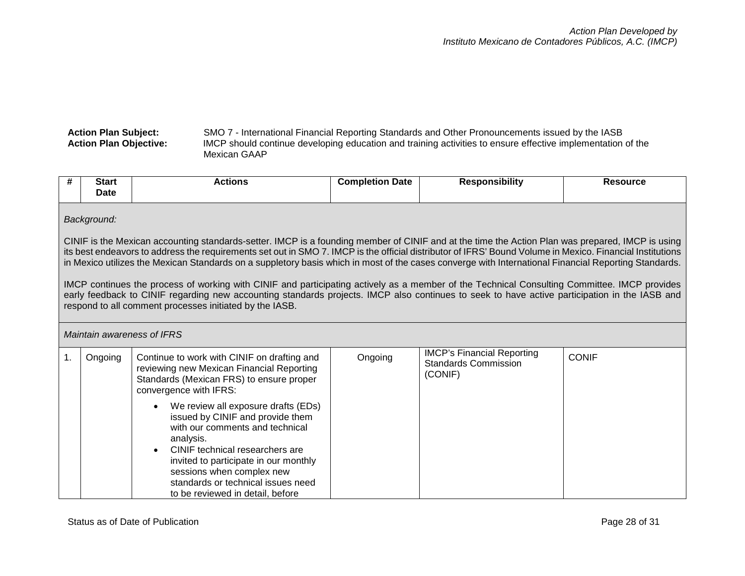#### **Action Plan Subject:** SMO 7 - International Financial Reporting Standards and Other Pronouncements issued by the IASB **Action Plan Objective:** IMCP should continue developing education and training activities to ensure effective implementation of the Mexican GAAP

| #                                                                                                                                                                                                                                                                                                                                                                                                                                                                                    | <b>Start</b><br>Date                                                                                                                                                                                                                                                                                                                                     | <b>Actions</b>                                                                                                                                                                                                                                                                                                                       | <b>Completion Date</b> | <b>Responsibility</b>                                                | <b>Resource</b> |
|--------------------------------------------------------------------------------------------------------------------------------------------------------------------------------------------------------------------------------------------------------------------------------------------------------------------------------------------------------------------------------------------------------------------------------------------------------------------------------------|----------------------------------------------------------------------------------------------------------------------------------------------------------------------------------------------------------------------------------------------------------------------------------------------------------------------------------------------------------|--------------------------------------------------------------------------------------------------------------------------------------------------------------------------------------------------------------------------------------------------------------------------------------------------------------------------------------|------------------------|----------------------------------------------------------------------|-----------------|
| Background:<br>CINIF is the Mexican accounting standards-setter. IMCP is a founding member of CINIF and at the time the Action Plan was prepared, IMCP is using<br>its best endeavors to address the requirements set out in SMO 7. IMCP is the official distributor of IFRS' Bound Volume in Mexico. Financial Institutions<br>in Mexico utilizes the Mexican Standards on a suppletory basis which in most of the cases converge with International Financial Reporting Standards. |                                                                                                                                                                                                                                                                                                                                                          |                                                                                                                                                                                                                                                                                                                                      |                        |                                                                      |                 |
|                                                                                                                                                                                                                                                                                                                                                                                                                                                                                      | IMCP continues the process of working with CINIF and participating actively as a member of the Technical Consulting Committee. IMCP provides<br>early feedback to CINIF regarding new accounting standards projects. IMCP also continues to seek to have active participation in the IASB and<br>respond to all comment processes initiated by the IASB. |                                                                                                                                                                                                                                                                                                                                      |                        |                                                                      |                 |
| Maintain awareness of IFRS                                                                                                                                                                                                                                                                                                                                                                                                                                                           |                                                                                                                                                                                                                                                                                                                                                          |                                                                                                                                                                                                                                                                                                                                      |                        |                                                                      |                 |
| $\mathbf{1}$ .                                                                                                                                                                                                                                                                                                                                                                                                                                                                       | Ongoing                                                                                                                                                                                                                                                                                                                                                  | Continue to work with CINIF on drafting and<br>reviewing new Mexican Financial Reporting<br>Standards (Mexican FRS) to ensure proper<br>convergence with IFRS:                                                                                                                                                                       | Ongoing                | <b>IMCP's Financial Reporting</b><br>Standards Commission<br>(CONIF) | <b>CONIF</b>    |
|                                                                                                                                                                                                                                                                                                                                                                                                                                                                                      |                                                                                                                                                                                                                                                                                                                                                          | We review all exposure drafts (EDs)<br>$\bullet$<br>issued by CINIF and provide them<br>with our comments and technical<br>analysis.<br>CINIF technical researchers are<br>$\bullet$<br>invited to participate in our monthly<br>sessions when complex new<br>standards or technical issues need<br>to be reviewed in detail, before |                        |                                                                      |                 |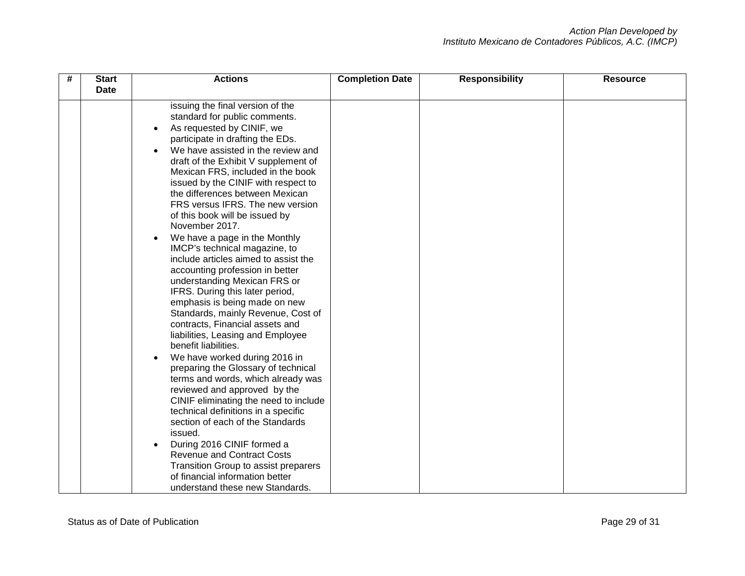| # | <b>Start</b><br><b>Date</b> | <b>Actions</b>                                                                                                                                                                                                                                                                                                                                                                                                                                                                                                                                                                                                                                                                                                                                                                                                                                                                                                                                                                                                                                                                                             | <b>Completion Date</b> | <b>Responsibility</b> | <b>Resource</b> |
|---|-----------------------------|------------------------------------------------------------------------------------------------------------------------------------------------------------------------------------------------------------------------------------------------------------------------------------------------------------------------------------------------------------------------------------------------------------------------------------------------------------------------------------------------------------------------------------------------------------------------------------------------------------------------------------------------------------------------------------------------------------------------------------------------------------------------------------------------------------------------------------------------------------------------------------------------------------------------------------------------------------------------------------------------------------------------------------------------------------------------------------------------------------|------------------------|-----------------------|-----------------|
|   |                             | issuing the final version of the<br>standard for public comments.<br>As requested by CINIF, we<br>participate in drafting the EDs.<br>We have assisted in the review and<br>draft of the Exhibit V supplement of<br>Mexican FRS, included in the book<br>issued by the CINIF with respect to<br>the differences between Mexican<br>FRS versus IFRS. The new version<br>of this book will be issued by<br>November 2017.<br>We have a page in the Monthly<br>$\bullet$<br>IMCP's technical magazine, to<br>include articles aimed to assist the<br>accounting profession in better<br>understanding Mexican FRS or<br>IFRS. During this later period,<br>emphasis is being made on new<br>Standards, mainly Revenue, Cost of<br>contracts, Financial assets and<br>liabilities, Leasing and Employee<br>benefit liabilities.<br>We have worked during 2016 in<br>$\bullet$<br>preparing the Glossary of technical<br>terms and words, which already was<br>reviewed and approved by the<br>CINIF eliminating the need to include<br>technical definitions in a specific<br>section of each of the Standards |                        |                       |                 |
|   |                             | issued.<br>During 2016 CINIF formed a<br><b>Revenue and Contract Costs</b><br>Transition Group to assist preparers<br>of financial information better<br>understand these new Standards.                                                                                                                                                                                                                                                                                                                                                                                                                                                                                                                                                                                                                                                                                                                                                                                                                                                                                                                   |                        |                       |                 |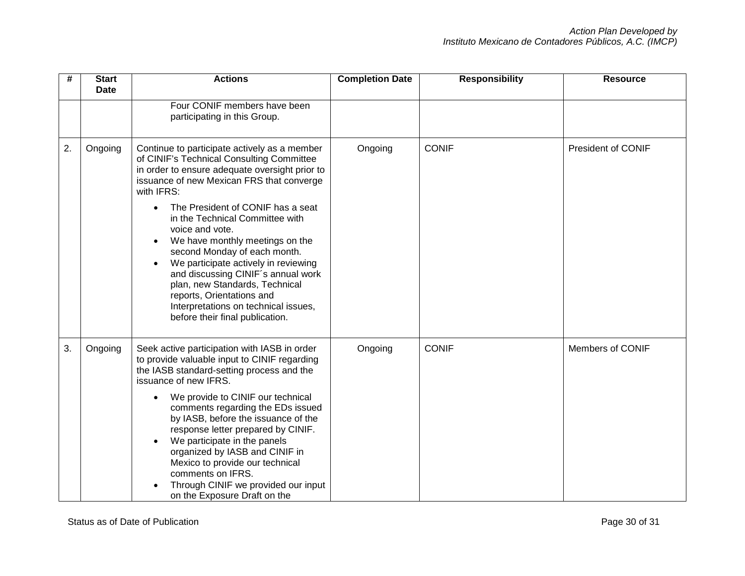| #  | <b>Start</b><br><b>Date</b> | <b>Actions</b>                                                                                                                                                                                                                                                                                                                                                                                                                                                                                                                                                                                                                      | <b>Completion Date</b> | <b>Responsibility</b> | <b>Resource</b>           |
|----|-----------------------------|-------------------------------------------------------------------------------------------------------------------------------------------------------------------------------------------------------------------------------------------------------------------------------------------------------------------------------------------------------------------------------------------------------------------------------------------------------------------------------------------------------------------------------------------------------------------------------------------------------------------------------------|------------------------|-----------------------|---------------------------|
|    |                             | Four CONIF members have been<br>participating in this Group.                                                                                                                                                                                                                                                                                                                                                                                                                                                                                                                                                                        |                        |                       |                           |
| 2. | Ongoing                     | Continue to participate actively as a member<br>of CINIF's Technical Consulting Committee<br>in order to ensure adequate oversight prior to<br>issuance of new Mexican FRS that converge<br>with IFRS:<br>The President of CONIF has a seat<br>$\bullet$<br>in the Technical Committee with<br>voice and vote.<br>We have monthly meetings on the<br>$\bullet$<br>second Monday of each month.<br>We participate actively in reviewing<br>$\bullet$<br>and discussing CINIF's annual work<br>plan, new Standards, Technical<br>reports, Orientations and<br>Interpretations on technical issues,<br>before their final publication. | Ongoing                | <b>CONIF</b>          | <b>President of CONIF</b> |
| 3. | Ongoing                     | Seek active participation with IASB in order<br>to provide valuable input to CINIF regarding<br>the IASB standard-setting process and the<br>issuance of new IFRS.<br>We provide to CINIF our technical<br>$\bullet$<br>comments regarding the EDs issued<br>by IASB, before the issuance of the<br>response letter prepared by CINIF.<br>We participate in the panels<br>$\bullet$<br>organized by IASB and CINIF in<br>Mexico to provide our technical<br>comments on IFRS.<br>Through CINIF we provided our input<br>on the Exposure Draft on the                                                                                | Ongoing                | <b>CONIF</b>          | Members of CONIF          |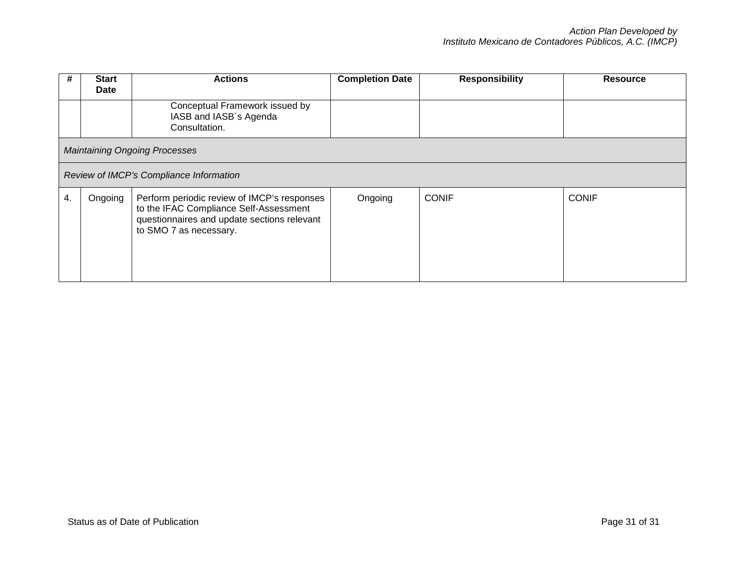| #  | <b>Start</b><br><b>Date</b>          | <b>Actions</b>                                                                                                                                                 | <b>Completion Date</b> | <b>Responsibility</b> | <b>Resource</b> |
|----|--------------------------------------|----------------------------------------------------------------------------------------------------------------------------------------------------------------|------------------------|-----------------------|-----------------|
|    |                                      | Conceptual Framework issued by<br>IASB and IASB's Agenda<br>Consultation.                                                                                      |                        |                       |                 |
|    | <b>Maintaining Ongoing Processes</b> |                                                                                                                                                                |                        |                       |                 |
|    |                                      | Review of IMCP's Compliance Information                                                                                                                        |                        |                       |                 |
| 4. | Ongoing                              | Perform periodic review of IMCP's responses<br>to the IFAC Compliance Self-Assessment<br>questionnaires and update sections relevant<br>to SMO 7 as necessary. | Ongoing                | <b>CONIF</b>          | <b>CONIF</b>    |